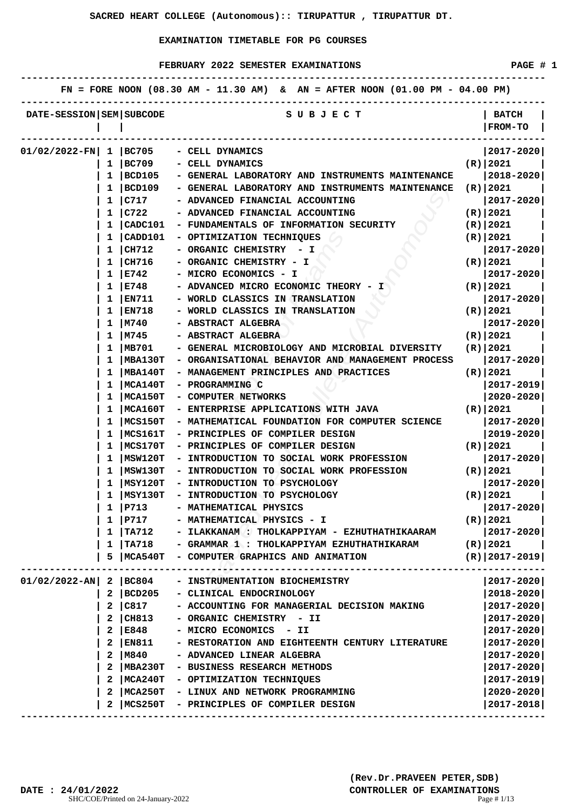|                              |    |                 | FN = FORE NOON $(08.30 \text{ AM} - 11.30 \text{ AM})$ & AN = AFTER NOON $(01.00 \text{ PM} - 04.00 \text{ PM})$ |                       |
|------------------------------|----|-----------------|------------------------------------------------------------------------------------------------------------------|-----------------------|
| DATE-SESSION   SEM   SUBCODE |    |                 | S U B J E C T                                                                                                    | <b>BATCH</b>          |
|                              |    |                 |                                                                                                                  | <b>FROM-TO</b>        |
|                              |    |                 |                                                                                                                  |                       |
| $01/02/2022-FN$              |    | $1 \vert BC705$ | - CELL DYNAMICS                                                                                                  | $ 2017 - 2020 $       |
|                              | ı  | BC709           | - CELL DYNAMICS                                                                                                  | $(R)$  2021           |
|                              | 1  | BCD105          | - GENERAL LABORATORY AND INSTRUMENTS MAINTENANCE                                                                 | $2018 - 2020$         |
|                              | 1  | BCD109          | - GENERAL LABORATORY AND INSTRUMENTS MAINTENANCE                                                                 | (R)   2021            |
|                              | 1  | C717            | - ADVANCED FINANCIAL ACCOUNTING                                                                                  | 2017-2020             |
|                              | 1  | C722            | - ADVANCED FINANCIAL ACCOUNTING                                                                                  | (R)   2021            |
|                              | 1  | CADC101         | - FUNDAMENTALS OF INFORMATION SECURITY                                                                           | (R)   2021            |
|                              |    | CADD101         | - OPTIMIZATION TECHNIQUES                                                                                        | (R)   2021            |
|                              | 1  | CH712           | - ORGANIC CHEMISTRY<br>– I                                                                                       | $2017 - 2020$         |
|                              | ı  | CH716           | - ORGANIC CHEMISTRY - I                                                                                          | $(R)$   2021          |
|                              | 1  | E742            | - MICRO ECONOMICS - I                                                                                            | $2017 - 2020$         |
|                              | 1  | E748            | - ADVANCED MICRO ECONOMIC THEORY - I                                                                             | $(R)$  2021           |
|                              | 1  | EN711           | - WORLD CLASSICS IN TRANSLATION                                                                                  | $2017 - 2020$         |
|                              | 1  | <b>EN718</b>    | - WORLD CLASSICS IN TRANSLATION                                                                                  | $(R)$  2021           |
|                              | 1  | M740            | - ABSTRACT ALGEBRA                                                                                               | 2017-2020             |
|                              |    | M745            | - ABSTRACT ALGEBRA                                                                                               | $(R)$  2021           |
|                              | 1  | MB701           | - GENERAL MICROBIOLOGY AND MICROBIAL DIVERSITY                                                                   | $(R)$  2021           |
|                              | ı  | MBA130T         | - ORGANISATIONAL BEHAVIOR AND MANAGEMENT PROCESS                                                                 | $ 2017 - 2020 $       |
|                              | 1  | <b>MBA140T</b>  | - MANAGEMENT PRINCIPLES AND PRACTICES                                                                            | (R)   2021            |
|                              | 1  | MCA140T         | - PROGRAMMING C                                                                                                  | $ 2017 - 2019 $       |
|                              | 1  | MCA150T         | - COMPUTER NETWORKS                                                                                              | $2020 - 2020$         |
|                              |    | <b>MCA160T</b>  | - ENTERPRISE APPLICATIONS WITH JAVA                                                                              | $(R)$  2021           |
|                              |    | MCS150T         | - MATHEMATICAL FOUNDATION FOR COMPUTER SCIENCE                                                                   | $2017 - 2020$         |
|                              |    | MCS161T         | - PRINCIPLES OF COMPILER DESIGN                                                                                  | $2019 - 2020$         |
|                              | ı  | MCS170T         | - PRINCIPLES OF COMPILER DESIGN                                                                                  | (R)   2021            |
|                              | ı  | MSW120T         | - INTRODUCTION TO SOCIAL WORK PROFESSION                                                                         | $2017 - 2020$         |
|                              | 1  | MSW130T         | - INTRODUCTION TO SOCIAL WORK PROFESSION                                                                         | (R) 2021)             |
|                              | 1  | MSY120T         | - INTRODUCTION TO PSYCHOLOGY                                                                                     | 2017-2020             |
|                              | 1  | $ $ MSY130T     | - INTRODUCTION TO PSYCHOLOGY                                                                                     | (R)   2021            |
|                              |    | 1   P713        | - MATHEMATICAL PHYSICS                                                                                           | $ 2017 - 2020 $       |
|                              |    | 1   P717        | - MATHEMATICAL PHYSICS - I                                                                                       | (R)   2021            |
|                              | 1  | TA712           | - ILAKKANAM : THOLKAPPIYAM - EZHUTHATHIKAARAM                                                                    | $2017 - 2020$         |
|                              |    | 1   TA718       | - GRAMMAR 1 : THOLKAPPIYAM EZHUTHATHIKARAM                                                                       | $(R)$ 2021            |
|                              | 5. | MCA540T         | - COMPUTER GRAPHICS AND ANIMATION                                                                                | $(R)   2017 - 2019  $ |
| $01/02/2022 - AN$ 2 BC804    |    |                 | - INSTRUMENTATION BIOCHEMISTRY                                                                                   | $ 2017 - 2020 $       |
|                              | 2  | BCD205          | - CLINICAL ENDOCRINOLOGY                                                                                         | $ 2018 - 2020 $       |
|                              |    | 2   C817        | - ACCOUNTING FOR MANAGERIAL DECISION MAKING                                                                      | 2017-2020             |
|                              |    | 2   CH813       | - ORGANIC CHEMISTRY - II                                                                                         | 2017-2020             |
|                              |    | 2 E848          | - MICRO ECONOMICS - II                                                                                           | 2017-2020             |
|                              |    | $2$   EN811     | - RESTORATION AND EIGHTEENTH CENTURY LITERATURE                                                                  | $ 2017 - 2020 $       |
|                              |    | 2   M840        | - ADVANCED LINEAR ALGEBRA                                                                                        | $2017 - 2020$         |
|                              |    |                 | 2   MBA230T - BUSINESS RESEARCH METHODS                                                                          | $2017 - 2020$         |
|                              | 2  |                 | MCA240T - OPTIMIZATION TECHNIQUES                                                                                | $2017 - 2019$         |
|                              | 2  |                 | MCA250T - LINUX AND NETWORK PROGRAMMING                                                                          | $2020 - 2020$         |
|                              | 2  |                 | MCS250T - PRINCIPLES OF COMPILER DESIGN                                                                          | 2017-2018             |
|                              |    |                 |                                                                                                                  |                       |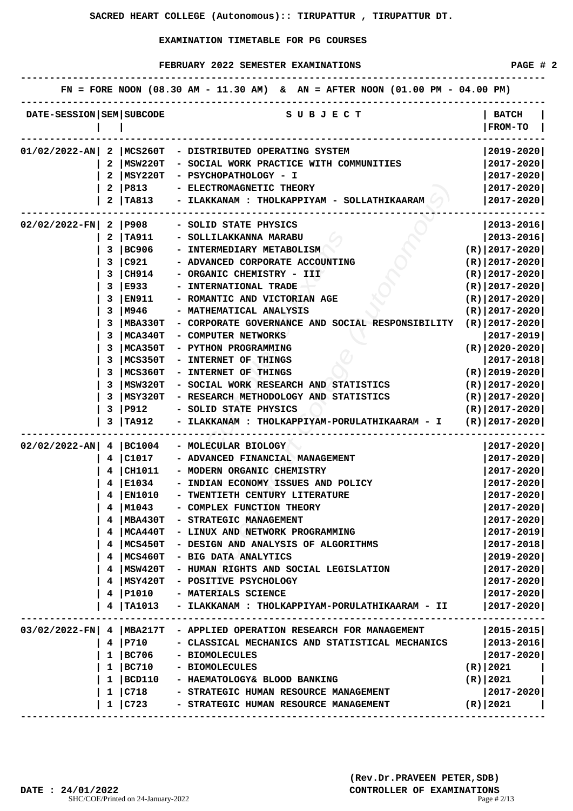|                              |              |                 | FN = FORE NOON (08.30 AM - 11.30 AM) & AN = AFTER NOON (01.00 PM - 04.00 PM) |                       |
|------------------------------|--------------|-----------------|------------------------------------------------------------------------------|-----------------------|
| DATE-SESSION   SEM   SUBCODE |              |                 | S U B J E C T                                                                | <b>BATCH</b>          |
|                              |              |                 |                                                                              | <b>FROM-TO</b>        |
| 01/02/2022-AN                | 2            | MCS260T         | - DISTRIBUTED OPERATING SYSTEM                                               | 2019-2020             |
|                              | 2            | MSW220T         | - SOCIAL WORK PRACTICE WITH COMMUNITIES                                      | 2017-2020             |
|                              |              | MSY220T         | - PSYCHOPATHOLOGY - I                                                        | $2017 - 2020$         |
|                              | 2            | $ P813\rangle$  | - ELECTROMAGNETIC THEORY                                                     | 2017-2020             |
|                              |              | TA813           | ILAKKANAM : THOLKAPPIYAM - SOLLATHIKAARAM                                    | $2017 - 2020$         |
|                              |              |                 |                                                                              |                       |
| $02/02/2022-FN$              |              | 2   P908        | - SOLID STATE PHYSICS                                                        | $ 2013 - 2016 $       |
|                              | 2.           | TA911           | - SOLLILAKKANNA MARABU                                                       | $ 2013 - 2016 $       |
|                              | 3            | BC906           | - INTERMEDIARY METABOLISM                                                    | $(R) 2017-2020 $      |
|                              | 3            | C921            | - ADVANCED CORPORATE ACCOUNTING                                              | $(R) 2017-2020 $      |
|                              | з            | CH914           | - ORGANIC CHEMISTRY - III                                                    | $(R)$   2017-2020     |
|                              | 3            | E933            | - INTERNATIONAL TRADE                                                        | $(R)$   2017-2020     |
|                              | з            | EN911           | - ROMANTIC AND VICTORIAN AGE                                                 | $(R)$  2017-2020      |
|                              | 3            | M946            | - MATHEMATICAL ANALYSIS                                                      | $(R) 2017-2020 $      |
|                              | 3            | <b>MBA330T</b>  | - CORPORATE GOVERNANCE AND SOCIAL RESPONSIBILITY                             | $(R)$  2017-2020      |
|                              | 3            | MCA340T         | - COMPUTER NETWORKS                                                          | $ 2017 - 2019 $       |
|                              | 3            | <b>MCA350T</b>  | - PYTHON PROGRAMMING                                                         | $(R)$  2020-2020      |
|                              | 3            | MCS350T         | - INTERNET OF THINGS                                                         | 2017-2018             |
|                              | 3            | MCS360T         | - INTERNET OF THINGS                                                         | $(R)   2019 - 2020  $ |
|                              | 3            | MSW320T         | - SOCIAL WORK RESEARCH AND STATISTICS                                        | $(R)$  2017-2020      |
|                              |              | MSY320T         | - RESEARCH METHODOLOGY AND STATISTICS                                        | $(R)$   2017-2020     |
|                              | 3            | P912            | - SOLID STATE PHYSICS                                                        | $(R)$   2017-2020     |
|                              | 3            | TA912           | ILAKKANAM : THOLKAPPIYAM-PORULATHIKAARAM - I                                 | $(R)$   2017-2020     |
| $02/02/2022 - AN$            |              | 4   BC1004      | - MOLECULAR BIOLOGY                                                          | 2017-2020             |
|                              | 4            | $ $ C1017       | - ADVANCED FINANCIAL MANAGEMENT                                              | $2017 - 2020$         |
|                              | 4            | CH1011          | - MODERN ORGANIC CHEMISTRY                                                   | 2017-2020             |
|                              |              | E1034           | INDIAN ECONOMY ISSUES AND POLICY                                             | $2017 - 2020$         |
|                              |              | <b>EN1010</b>   | - TWENTIETH CENTURY LITERATURE                                               | $2017 - 2020$         |
|                              | 4            | M1043           | - COMPLEX FUNCTION THEORY                                                    | 2017-2020             |
|                              | 4            | MBA430T         | - STRATEGIC MANAGEMENT                                                       | 2017-2020             |
|                              | 4            | MCA440T         | - LINUX AND NETWORK PROGRAMMING                                              | $2017 - 2019$         |
|                              | 4.           | MCS450T         | - DESIGN AND ANALYSIS OF ALGORITHMS                                          | 2017-2018             |
|                              | 4            | MCS460T         | - BIG DATA ANALYTICS                                                         | 2019-2020             |
|                              | 4            | MSW420T         | - HUMAN RIGHTS AND SOCIAL LEGISLATION                                        | 2017-2020             |
|                              |              | MSY420T         | - POSITIVE PSYCHOLOGY                                                        | 2017-2020             |
|                              |              | 4 P1010         | - MATERIALS SCIENCE                                                          | 2017-2020             |
|                              |              | 4   TA1013      | - ILAKKANAM : THOLKAPPIYAM-PORULATHIKAARAM - II                              | 2017-2020             |
|                              |              |                 |                                                                              |                       |
| $03/02/2022-FN$              |              |                 | 4   MBA217T - APPLIED OPERATION RESEARCH FOR MANAGEMENT                      | $ 2015 - 2015 $       |
|                              |              | 4   P710        | - CLASSICAL MECHANICS AND STATISTICAL MECHANICS                              | 2013-2016             |
|                              |              | $1 \vert BC706$ | - BIOMOLECULES                                                               | $2017 - 2020$         |
|                              | $\mathbf{1}$ | BC710           | - BIOMOLECULES                                                               | $(R)$   2021          |
|                              | 1            | $ $ BCD110      | - HAEMATOLOGY& BLOOD BANKING                                                 | (R) 2021              |
|                              | $\mathbf{1}$ | C718            | - STRATEGIC HUMAN RESOURCE MANAGEMENT                                        | 2017-2020             |
|                              |              | 1 C723          | - STRATEGIC HUMAN RESOURCE MANAGEMENT                                        | (R)   2021            |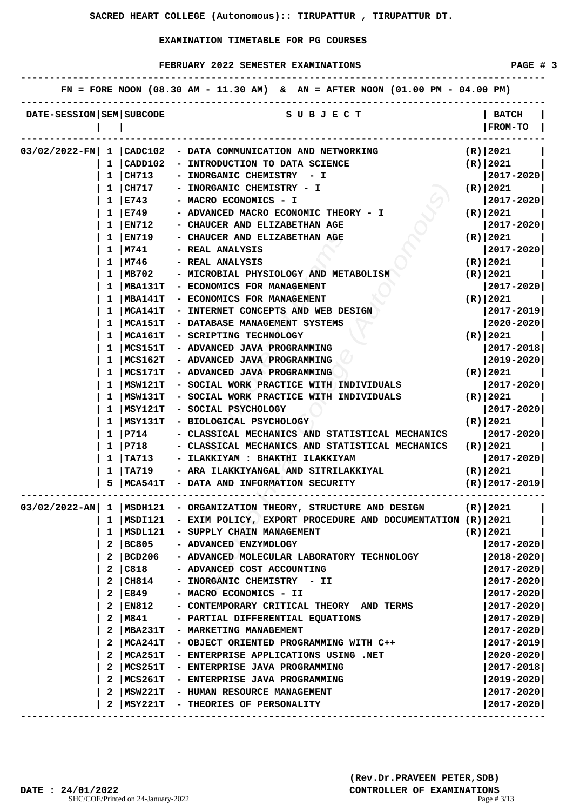|                              |          |                        | FN = FORE NOON (08.30 AM - 11.30 AM) & AN = AFTER NOON (01.00 PM - 04.00 PM) |                                |
|------------------------------|----------|------------------------|------------------------------------------------------------------------------|--------------------------------|
| DATE-SESSION   SEM   SUBCODE |          |                        | S U B J E C T                                                                | <b>BATCH</b><br><b>FROM-TO</b> |
| 03/02/2022-FN 1              |          | $ $ CADC $102$         | - DATA COMMUNICATION AND NETWORKING                                          | $(R)$   2021                   |
|                              | ı        | CADD102                | - INTRODUCTION TO DATA SCIENCE                                               | $(R)$   2021                   |
|                              |          | CH713                  | - INORGANIC CHEMISTRY - I                                                    | $2017 - 2020$                  |
|                              |          | CH717                  | INORGANIC CHEMISTRY - I                                                      | $(R)$   2021                   |
|                              |          | E743                   | MACRO ECONOMICS - I                                                          | $ 2017 - 2020 $                |
|                              |          | E749                   | ADVANCED MACRO ECONOMIC THEORY - I                                           | (R)   2021                     |
|                              |          | EN712                  | <b>CHAUCER AND ELIZABETHAN AGE</b>                                           | 2017-2020                      |
|                              | ı        | EN719                  | - CHAUCER AND ELIZABETHAN AGE                                                | (R)   2021                     |
|                              | ı        | M741                   | - REAL ANALYSIS                                                              | 2017-2020                      |
|                              | 1        | M746                   | - REAL ANALYSIS                                                              | $(R)$   2021                   |
|                              |          | MB702                  | - MICROBIAL PHYSIOLOGY AND METABOLISM                                        | (R)   2021                     |
|                              |          | MBA131T                | - ECONOMICS FOR MANAGEMENT                                                   | 2017-2020                      |
|                              |          | MBA141T                | - ECONOMICS FOR MANAGEMENT                                                   | (R)   2021                     |
|                              | ı        | MCA141T                | - INTERNET CONCEPTS AND WEB DESIGN                                           | 2017-2019                      |
|                              | ı        | MCA151T                | - DATABASE MANAGEMENT SYSTEMS                                                | 2020-2020                      |
|                              | 1        | MCA161T                | - SCRIPTING TECHNOLOGY                                                       | (R)   2021                     |
|                              | 1        | MCS151T                | - ADVANCED JAVA PROGRAMMING                                                  | 2017-2018                      |
|                              | 1        | MCS162T                | - ADVANCED JAVA PROGRAMMING                                                  | 2019-2020                      |
|                              |          | MCS171T                | - ADVANCED JAVA PROGRAMMING                                                  | (R)   2021                     |
|                              |          | MSW121T                | - SOCIAL WORK PRACTICE WITH INDIVIDUALS                                      | 2017-2020                      |
|                              |          | MSW131T                | - SOCIAL WORK PRACTICE WITH INDIVIDUALS                                      | $(R)$  2021                    |
|                              | ı        | MSY121T                | - SOCIAL PSYCHOLOGY                                                          | 2017-2020                      |
|                              |          | MSY131T                | - BIOLOGICAL PSYCHOLOGY                                                      | $(R)$   2021                   |
|                              | ı        | P714                   | - CLASSICAL MECHANICS AND STATISTICAL MECHANICS                              | 2017-2020                      |
|                              | 1        | P718                   | - CLASSICAL MECHANICS AND STATISTICAL MECHANICS                              | (R)   2021                     |
|                              | 1        | TA713                  | ILAKKIYAM : BHAKTHI ILAKKIYAM                                                | 2017-2020                      |
|                              |          | TA719                  | ARA ILAKKIYANGAL AND SITRILAKKIYAL                                           | $(R)$   2021                   |
|                              |          | MCA541T                | - DATA AND INFORMATION SECURITY                                              | $(R)   2017 - 2019  $          |
| $03/02/2022 - AN$            | <b>I</b> | MSDH121                | - ORGANIZATION THEORY, STRUCTURE AND DESIGN                                  | $(R)$   2021                   |
|                              |          | 1  MSDI121             | - EXIM POLICY, EXPORT PROCEDURE AND DOCUMENTATION (R) 2021                   |                                |
|                              | 1        | MSDL121                | - SUPPLY CHAIN MANAGEMENT                                                    | (R)   2021                     |
|                              | 2        | BC805                  | - ADVANCED ENZYMOLOGY                                                        | 2017-2020                      |
|                              | 2        | BCD206                 | - ADVANCED MOLECULAR LABORATORY TECHNOLOGY                                   | $2018 - 2020$                  |
|                              | 2        | C818                   | - ADVANCED COST ACCOUNTING                                                   | 2017-2020                      |
|                              | 2        | CH814                  | - INORGANIC CHEMISTRY - II                                                   | $2017 - 2020$                  |
|                              | 2        | E849                   | - MACRO ECONOMICS - II                                                       | 2017-2020                      |
|                              | 2        | EN812                  | - CONTEMPORARY CRITICAL THEORY AND TERMS                                     | $2017 - 2020$                  |
|                              | 2        |                        |                                                                              |                                |
|                              | 2        | M841<br><b>MBA231T</b> | - PARTIAL DIFFERENTIAL EQUATIONS                                             | $ 2017 - 2020 $                |
|                              | 2        |                        | - MARKETING MANAGEMENT                                                       | $2017 - 2020$                  |
|                              | 2        | MCA241T                | - OBJECT ORIENTED PROGRAMMING WITH C++                                       | $2017 - 2019$                  |
|                              |          | MCA251T                | - ENTERPRISE APPLICATIONS USING .NET                                         | $2020 - 2020$                  |
|                              | 2        | MCS251T                | - ENTERPRISE JAVA PROGRAMMING                                                | 2017-2018                      |
|                              |          | MCS261T                | - ENTERPRISE JAVA PROGRAMMING                                                | 2019-2020                      |
|                              | 2        | MSW221T                | - HUMAN RESOURCE MANAGEMENT                                                  | 2017-2020                      |
|                              | 2        | MSY221T                | - THEORIES OF PERSONALITY                                                    | $ 2017 - 2020 $                |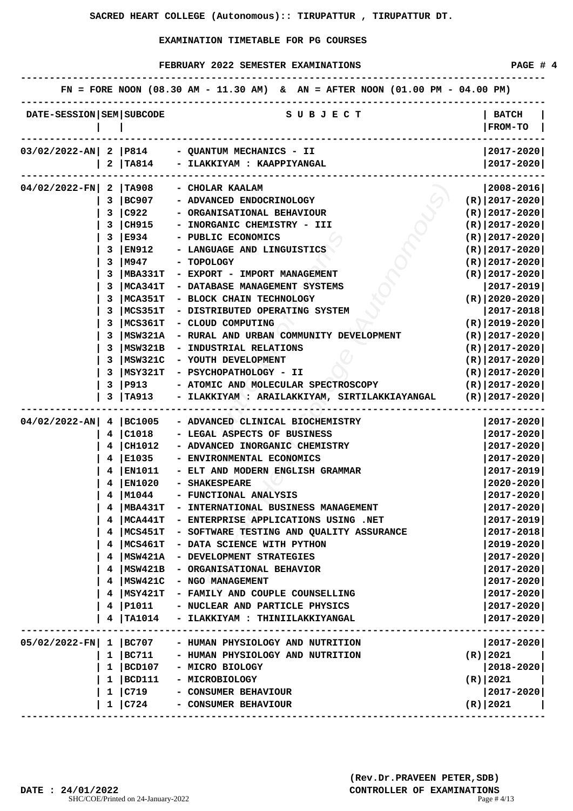| DATE-SESSION   SEM   SUBCODE<br>S U B J E C T<br><b>BATCH</b><br><b>FROM-TO</b><br>$ 2017 - 2020 $<br>03/02/2022-AN 2 P814<br>- QUANTUM MECHANICS - II<br> 2017-2020 <br><b>TA814</b><br>- ILAKKIYAM : KAAPPIYANGAL<br>2<br>$04/02/2022-FN$<br>  TA908<br>$ 2008 - 2016 $<br>2<br>- CHOLAR KAALAM<br>3<br> BC907<br>- ADVANCED ENDOCRINOLOGY<br>$(R) 2017-2020 $<br>3<br> C922<br>- ORGANISATIONAL BEHAVIOUR<br>$(R) 2017-2020 $<br> CH915<br>- INORGANIC CHEMISTRY - III<br>$(R) 2017-2020 $<br>з<br> E934<br>3<br>- PUBLIC ECONOMICS<br>$(R) 2017-2020 $<br> EN912<br>- LANGUAGE AND LINGUISTICS<br>$(R) 2017-2020 $<br>з<br>3<br> M947<br>$(R) 2017-2020 $<br>- TOPOLOGY<br>$(R)$   2017-2020 <br>з<br> MBA331T<br>- EXPORT - IMPORT MANAGEMENT<br>3<br>MCA341T<br>$ 2017 - 2019 $<br>- DATABASE MANAGEMENT SYSTEMS<br> MCA351T<br>$(R)$  2020-2020 <br>з<br>- BLOCK CHAIN TECHNOLOGY<br>MCS351T<br>- DISTRIBUTED OPERATING SYSTEM<br> 2017-2018 <br>з<br>MCS361T<br>- CLOUD COMPUTING<br>$(R)   2019 - 2020  $<br>з<br>MSW321A<br>- RURAL AND URBAN COMMUNITY DEVELOPMENT<br>$(R) 2017-2020 $<br>з<br>MSW321B<br>- INDUSTRIAL RELATIONS<br>$(R)$   2017-2020 <br>3<br>3<br>MSW321C<br>$(R) 2017-2020 $<br>- YOUTH DEVELOPMENT<br>3<br> MSY321T<br>$(R) 2017-2020 $<br>- PSYCHOPATHOLOGY - II<br>3<br>P913 <br>$(R)$  2017-2020 <br>- ATOMIC AND MOLECULAR SPECTROSCOPY<br>$(R)$   2017-2020 <br><b>TA913</b><br>- ILAKKIYAM : ARAILAKKIYAM, SIRTILAKKIAYANGAL<br>3<br>$04/02/2022 - AN$<br>4   BC1005<br>- ADVANCED CLINICAL BIOCHEMISTRY<br> 2017-2020 <br>4 C1018<br>- LEGAL ASPECTS OF BUSINESS<br>2017-2020<br>4   CH1012<br>- ADVANCED INORGANIC CHEMISTRY<br>2017-2020<br>E1035<br>- ENVIRONMENTAL ECONOMICS<br>2017-2020<br>4<br><b>EN1011</b><br>- ELT AND MODERN ENGLISH GRAMMAR<br>2017-2019<br>4<br> EN1020<br>$2020 - 2020$<br>4<br><b>- SHAKESPEARE</b><br>M1044<br>2017-2020<br>- FUNCTIONAL ANALYSIS<br>4<br><b>MBA431T</b><br>- INTERNATIONAL BUSINESS MANAGEMENT<br>2017-2020<br><b>MCA441T</b><br>- ENTERPRISE APPLICATIONS USING .NET<br>2017-2019<br>4<br>MCS451T<br>- SOFTWARE TESTING AND QUALITY ASSURANCE<br>$2017 - 2018$<br>4<br>- DATA SCIENCE WITH PYTHON<br>$2019 - 2020$<br> MCS461T<br>4<br>MSW421A<br>$2017 - 2020$<br>4<br>- DEVELOPMENT STRATEGIES<br>$2017 - 2020$<br> MSW421B<br>- ORGANISATIONAL BEHAVIOR<br>4<br>MSW421C<br>$2017 - 2020$<br>4<br>- NGO MANAGEMENT<br> MSY421T<br>$2017 - 2020$<br>4<br>- FAMILY AND COUPLE COUNSELLING<br>P1011<br>$2017 - 2020$<br>4<br>- NUCLEAR AND PARTICLE PHYSICS<br><b>TA1014</b><br>2017-2020<br>- ILAKKIYAM : THINIILAKKIYANGAL<br>4<br> 2017-2020 <br>$05/02/2022-FN$<br> BC707<br>1<br>- HUMAN PHYSIOLOGY AND NUTRITION<br> BC711<br>$(R)$  2021<br>1<br>- HUMAN PHYSIOLOGY AND NUTRITION<br>2018-2020<br>1<br> BCD107<br>- MICRO BIOLOGY<br> BCD111 <br>(R)   2021<br>1<br>- MICROBIOLOGY<br>1<br> C719<br>$2017 - 2020$<br>- CONSUMER BEHAVIOUR<br>$(R)$   2021 |   |      | FN = FORE NOON (08.30 AM - 11.30 AM) & AN = AFTER NOON (01.00 PM - 04.00 PM) |  |
|---------------------------------------------------------------------------------------------------------------------------------------------------------------------------------------------------------------------------------------------------------------------------------------------------------------------------------------------------------------------------------------------------------------------------------------------------------------------------------------------------------------------------------------------------------------------------------------------------------------------------------------------------------------------------------------------------------------------------------------------------------------------------------------------------------------------------------------------------------------------------------------------------------------------------------------------------------------------------------------------------------------------------------------------------------------------------------------------------------------------------------------------------------------------------------------------------------------------------------------------------------------------------------------------------------------------------------------------------------------------------------------------------------------------------------------------------------------------------------------------------------------------------------------------------------------------------------------------------------------------------------------------------------------------------------------------------------------------------------------------------------------------------------------------------------------------------------------------------------------------------------------------------------------------------------------------------------------------------------------------------------------------------------------------------------------------------------------------------------------------------------------------------------------------------------------------------------------------------------------------------------------------------------------------------------------------------------------------------------------------------------------------------------------------------------------------------------------------------------------------------------------------------------------------------------------------------------------------------------------------------------------------------------------------------------------------------------------------------------------------------------------------------------------------------------------------------------------------------------------------------------------------------------------------------------------------------------|---|------|------------------------------------------------------------------------------|--|
|                                                                                                                                                                                                                                                                                                                                                                                                                                                                                                                                                                                                                                                                                                                                                                                                                                                                                                                                                                                                                                                                                                                                                                                                                                                                                                                                                                                                                                                                                                                                                                                                                                                                                                                                                                                                                                                                                                                                                                                                                                                                                                                                                                                                                                                                                                                                                                                                                                                                                                                                                                                                                                                                                                                                                                                                                                                                                                                                                         |   |      |                                                                              |  |
|                                                                                                                                                                                                                                                                                                                                                                                                                                                                                                                                                                                                                                                                                                                                                                                                                                                                                                                                                                                                                                                                                                                                                                                                                                                                                                                                                                                                                                                                                                                                                                                                                                                                                                                                                                                                                                                                                                                                                                                                                                                                                                                                                                                                                                                                                                                                                                                                                                                                                                                                                                                                                                                                                                                                                                                                                                                                                                                                                         |   |      |                                                                              |  |
|                                                                                                                                                                                                                                                                                                                                                                                                                                                                                                                                                                                                                                                                                                                                                                                                                                                                                                                                                                                                                                                                                                                                                                                                                                                                                                                                                                                                                                                                                                                                                                                                                                                                                                                                                                                                                                                                                                                                                                                                                                                                                                                                                                                                                                                                                                                                                                                                                                                                                                                                                                                                                                                                                                                                                                                                                                                                                                                                                         |   |      |                                                                              |  |
|                                                                                                                                                                                                                                                                                                                                                                                                                                                                                                                                                                                                                                                                                                                                                                                                                                                                                                                                                                                                                                                                                                                                                                                                                                                                                                                                                                                                                                                                                                                                                                                                                                                                                                                                                                                                                                                                                                                                                                                                                                                                                                                                                                                                                                                                                                                                                                                                                                                                                                                                                                                                                                                                                                                                                                                                                                                                                                                                                         |   |      |                                                                              |  |
|                                                                                                                                                                                                                                                                                                                                                                                                                                                                                                                                                                                                                                                                                                                                                                                                                                                                                                                                                                                                                                                                                                                                                                                                                                                                                                                                                                                                                                                                                                                                                                                                                                                                                                                                                                                                                                                                                                                                                                                                                                                                                                                                                                                                                                                                                                                                                                                                                                                                                                                                                                                                                                                                                                                                                                                                                                                                                                                                                         |   |      |                                                                              |  |
|                                                                                                                                                                                                                                                                                                                                                                                                                                                                                                                                                                                                                                                                                                                                                                                                                                                                                                                                                                                                                                                                                                                                                                                                                                                                                                                                                                                                                                                                                                                                                                                                                                                                                                                                                                                                                                                                                                                                                                                                                                                                                                                                                                                                                                                                                                                                                                                                                                                                                                                                                                                                                                                                                                                                                                                                                                                                                                                                                         |   |      |                                                                              |  |
|                                                                                                                                                                                                                                                                                                                                                                                                                                                                                                                                                                                                                                                                                                                                                                                                                                                                                                                                                                                                                                                                                                                                                                                                                                                                                                                                                                                                                                                                                                                                                                                                                                                                                                                                                                                                                                                                                                                                                                                                                                                                                                                                                                                                                                                                                                                                                                                                                                                                                                                                                                                                                                                                                                                                                                                                                                                                                                                                                         |   |      |                                                                              |  |
|                                                                                                                                                                                                                                                                                                                                                                                                                                                                                                                                                                                                                                                                                                                                                                                                                                                                                                                                                                                                                                                                                                                                                                                                                                                                                                                                                                                                                                                                                                                                                                                                                                                                                                                                                                                                                                                                                                                                                                                                                                                                                                                                                                                                                                                                                                                                                                                                                                                                                                                                                                                                                                                                                                                                                                                                                                                                                                                                                         |   |      |                                                                              |  |
|                                                                                                                                                                                                                                                                                                                                                                                                                                                                                                                                                                                                                                                                                                                                                                                                                                                                                                                                                                                                                                                                                                                                                                                                                                                                                                                                                                                                                                                                                                                                                                                                                                                                                                                                                                                                                                                                                                                                                                                                                                                                                                                                                                                                                                                                                                                                                                                                                                                                                                                                                                                                                                                                                                                                                                                                                                                                                                                                                         |   |      |                                                                              |  |
|                                                                                                                                                                                                                                                                                                                                                                                                                                                                                                                                                                                                                                                                                                                                                                                                                                                                                                                                                                                                                                                                                                                                                                                                                                                                                                                                                                                                                                                                                                                                                                                                                                                                                                                                                                                                                                                                                                                                                                                                                                                                                                                                                                                                                                                                                                                                                                                                                                                                                                                                                                                                                                                                                                                                                                                                                                                                                                                                                         |   |      |                                                                              |  |
|                                                                                                                                                                                                                                                                                                                                                                                                                                                                                                                                                                                                                                                                                                                                                                                                                                                                                                                                                                                                                                                                                                                                                                                                                                                                                                                                                                                                                                                                                                                                                                                                                                                                                                                                                                                                                                                                                                                                                                                                                                                                                                                                                                                                                                                                                                                                                                                                                                                                                                                                                                                                                                                                                                                                                                                                                                                                                                                                                         |   |      |                                                                              |  |
|                                                                                                                                                                                                                                                                                                                                                                                                                                                                                                                                                                                                                                                                                                                                                                                                                                                                                                                                                                                                                                                                                                                                                                                                                                                                                                                                                                                                                                                                                                                                                                                                                                                                                                                                                                                                                                                                                                                                                                                                                                                                                                                                                                                                                                                                                                                                                                                                                                                                                                                                                                                                                                                                                                                                                                                                                                                                                                                                                         |   |      |                                                                              |  |
|                                                                                                                                                                                                                                                                                                                                                                                                                                                                                                                                                                                                                                                                                                                                                                                                                                                                                                                                                                                                                                                                                                                                                                                                                                                                                                                                                                                                                                                                                                                                                                                                                                                                                                                                                                                                                                                                                                                                                                                                                                                                                                                                                                                                                                                                                                                                                                                                                                                                                                                                                                                                                                                                                                                                                                                                                                                                                                                                                         |   |      |                                                                              |  |
|                                                                                                                                                                                                                                                                                                                                                                                                                                                                                                                                                                                                                                                                                                                                                                                                                                                                                                                                                                                                                                                                                                                                                                                                                                                                                                                                                                                                                                                                                                                                                                                                                                                                                                                                                                                                                                                                                                                                                                                                                                                                                                                                                                                                                                                                                                                                                                                                                                                                                                                                                                                                                                                                                                                                                                                                                                                                                                                                                         |   |      |                                                                              |  |
|                                                                                                                                                                                                                                                                                                                                                                                                                                                                                                                                                                                                                                                                                                                                                                                                                                                                                                                                                                                                                                                                                                                                                                                                                                                                                                                                                                                                                                                                                                                                                                                                                                                                                                                                                                                                                                                                                                                                                                                                                                                                                                                                                                                                                                                                                                                                                                                                                                                                                                                                                                                                                                                                                                                                                                                                                                                                                                                                                         |   |      |                                                                              |  |
|                                                                                                                                                                                                                                                                                                                                                                                                                                                                                                                                                                                                                                                                                                                                                                                                                                                                                                                                                                                                                                                                                                                                                                                                                                                                                                                                                                                                                                                                                                                                                                                                                                                                                                                                                                                                                                                                                                                                                                                                                                                                                                                                                                                                                                                                                                                                                                                                                                                                                                                                                                                                                                                                                                                                                                                                                                                                                                                                                         |   |      |                                                                              |  |
|                                                                                                                                                                                                                                                                                                                                                                                                                                                                                                                                                                                                                                                                                                                                                                                                                                                                                                                                                                                                                                                                                                                                                                                                                                                                                                                                                                                                                                                                                                                                                                                                                                                                                                                                                                                                                                                                                                                                                                                                                                                                                                                                                                                                                                                                                                                                                                                                                                                                                                                                                                                                                                                                                                                                                                                                                                                                                                                                                         |   |      |                                                                              |  |
|                                                                                                                                                                                                                                                                                                                                                                                                                                                                                                                                                                                                                                                                                                                                                                                                                                                                                                                                                                                                                                                                                                                                                                                                                                                                                                                                                                                                                                                                                                                                                                                                                                                                                                                                                                                                                                                                                                                                                                                                                                                                                                                                                                                                                                                                                                                                                                                                                                                                                                                                                                                                                                                                                                                                                                                                                                                                                                                                                         |   |      |                                                                              |  |
|                                                                                                                                                                                                                                                                                                                                                                                                                                                                                                                                                                                                                                                                                                                                                                                                                                                                                                                                                                                                                                                                                                                                                                                                                                                                                                                                                                                                                                                                                                                                                                                                                                                                                                                                                                                                                                                                                                                                                                                                                                                                                                                                                                                                                                                                                                                                                                                                                                                                                                                                                                                                                                                                                                                                                                                                                                                                                                                                                         |   |      |                                                                              |  |
|                                                                                                                                                                                                                                                                                                                                                                                                                                                                                                                                                                                                                                                                                                                                                                                                                                                                                                                                                                                                                                                                                                                                                                                                                                                                                                                                                                                                                                                                                                                                                                                                                                                                                                                                                                                                                                                                                                                                                                                                                                                                                                                                                                                                                                                                                                                                                                                                                                                                                                                                                                                                                                                                                                                                                                                                                                                                                                                                                         |   |      |                                                                              |  |
|                                                                                                                                                                                                                                                                                                                                                                                                                                                                                                                                                                                                                                                                                                                                                                                                                                                                                                                                                                                                                                                                                                                                                                                                                                                                                                                                                                                                                                                                                                                                                                                                                                                                                                                                                                                                                                                                                                                                                                                                                                                                                                                                                                                                                                                                                                                                                                                                                                                                                                                                                                                                                                                                                                                                                                                                                                                                                                                                                         |   |      |                                                                              |  |
|                                                                                                                                                                                                                                                                                                                                                                                                                                                                                                                                                                                                                                                                                                                                                                                                                                                                                                                                                                                                                                                                                                                                                                                                                                                                                                                                                                                                                                                                                                                                                                                                                                                                                                                                                                                                                                                                                                                                                                                                                                                                                                                                                                                                                                                                                                                                                                                                                                                                                                                                                                                                                                                                                                                                                                                                                                                                                                                                                         |   |      |                                                                              |  |
|                                                                                                                                                                                                                                                                                                                                                                                                                                                                                                                                                                                                                                                                                                                                                                                                                                                                                                                                                                                                                                                                                                                                                                                                                                                                                                                                                                                                                                                                                                                                                                                                                                                                                                                                                                                                                                                                                                                                                                                                                                                                                                                                                                                                                                                                                                                                                                                                                                                                                                                                                                                                                                                                                                                                                                                                                                                                                                                                                         |   |      |                                                                              |  |
|                                                                                                                                                                                                                                                                                                                                                                                                                                                                                                                                                                                                                                                                                                                                                                                                                                                                                                                                                                                                                                                                                                                                                                                                                                                                                                                                                                                                                                                                                                                                                                                                                                                                                                                                                                                                                                                                                                                                                                                                                                                                                                                                                                                                                                                                                                                                                                                                                                                                                                                                                                                                                                                                                                                                                                                                                                                                                                                                                         |   |      |                                                                              |  |
|                                                                                                                                                                                                                                                                                                                                                                                                                                                                                                                                                                                                                                                                                                                                                                                                                                                                                                                                                                                                                                                                                                                                                                                                                                                                                                                                                                                                                                                                                                                                                                                                                                                                                                                                                                                                                                                                                                                                                                                                                                                                                                                                                                                                                                                                                                                                                                                                                                                                                                                                                                                                                                                                                                                                                                                                                                                                                                                                                         |   |      |                                                                              |  |
|                                                                                                                                                                                                                                                                                                                                                                                                                                                                                                                                                                                                                                                                                                                                                                                                                                                                                                                                                                                                                                                                                                                                                                                                                                                                                                                                                                                                                                                                                                                                                                                                                                                                                                                                                                                                                                                                                                                                                                                                                                                                                                                                                                                                                                                                                                                                                                                                                                                                                                                                                                                                                                                                                                                                                                                                                                                                                                                                                         |   |      |                                                                              |  |
|                                                                                                                                                                                                                                                                                                                                                                                                                                                                                                                                                                                                                                                                                                                                                                                                                                                                                                                                                                                                                                                                                                                                                                                                                                                                                                                                                                                                                                                                                                                                                                                                                                                                                                                                                                                                                                                                                                                                                                                                                                                                                                                                                                                                                                                                                                                                                                                                                                                                                                                                                                                                                                                                                                                                                                                                                                                                                                                                                         |   |      |                                                                              |  |
|                                                                                                                                                                                                                                                                                                                                                                                                                                                                                                                                                                                                                                                                                                                                                                                                                                                                                                                                                                                                                                                                                                                                                                                                                                                                                                                                                                                                                                                                                                                                                                                                                                                                                                                                                                                                                                                                                                                                                                                                                                                                                                                                                                                                                                                                                                                                                                                                                                                                                                                                                                                                                                                                                                                                                                                                                                                                                                                                                         |   |      |                                                                              |  |
|                                                                                                                                                                                                                                                                                                                                                                                                                                                                                                                                                                                                                                                                                                                                                                                                                                                                                                                                                                                                                                                                                                                                                                                                                                                                                                                                                                                                                                                                                                                                                                                                                                                                                                                                                                                                                                                                                                                                                                                                                                                                                                                                                                                                                                                                                                                                                                                                                                                                                                                                                                                                                                                                                                                                                                                                                                                                                                                                                         |   |      |                                                                              |  |
|                                                                                                                                                                                                                                                                                                                                                                                                                                                                                                                                                                                                                                                                                                                                                                                                                                                                                                                                                                                                                                                                                                                                                                                                                                                                                                                                                                                                                                                                                                                                                                                                                                                                                                                                                                                                                                                                                                                                                                                                                                                                                                                                                                                                                                                                                                                                                                                                                                                                                                                                                                                                                                                                                                                                                                                                                                                                                                                                                         |   |      |                                                                              |  |
|                                                                                                                                                                                                                                                                                                                                                                                                                                                                                                                                                                                                                                                                                                                                                                                                                                                                                                                                                                                                                                                                                                                                                                                                                                                                                                                                                                                                                                                                                                                                                                                                                                                                                                                                                                                                                                                                                                                                                                                                                                                                                                                                                                                                                                                                                                                                                                                                                                                                                                                                                                                                                                                                                                                                                                                                                                                                                                                                                         |   |      |                                                                              |  |
|                                                                                                                                                                                                                                                                                                                                                                                                                                                                                                                                                                                                                                                                                                                                                                                                                                                                                                                                                                                                                                                                                                                                                                                                                                                                                                                                                                                                                                                                                                                                                                                                                                                                                                                                                                                                                                                                                                                                                                                                                                                                                                                                                                                                                                                                                                                                                                                                                                                                                                                                                                                                                                                                                                                                                                                                                                                                                                                                                         |   |      |                                                                              |  |
|                                                                                                                                                                                                                                                                                                                                                                                                                                                                                                                                                                                                                                                                                                                                                                                                                                                                                                                                                                                                                                                                                                                                                                                                                                                                                                                                                                                                                                                                                                                                                                                                                                                                                                                                                                                                                                                                                                                                                                                                                                                                                                                                                                                                                                                                                                                                                                                                                                                                                                                                                                                                                                                                                                                                                                                                                                                                                                                                                         |   |      |                                                                              |  |
|                                                                                                                                                                                                                                                                                                                                                                                                                                                                                                                                                                                                                                                                                                                                                                                                                                                                                                                                                                                                                                                                                                                                                                                                                                                                                                                                                                                                                                                                                                                                                                                                                                                                                                                                                                                                                                                                                                                                                                                                                                                                                                                                                                                                                                                                                                                                                                                                                                                                                                                                                                                                                                                                                                                                                                                                                                                                                                                                                         |   |      |                                                                              |  |
|                                                                                                                                                                                                                                                                                                                                                                                                                                                                                                                                                                                                                                                                                                                                                                                                                                                                                                                                                                                                                                                                                                                                                                                                                                                                                                                                                                                                                                                                                                                                                                                                                                                                                                                                                                                                                                                                                                                                                                                                                                                                                                                                                                                                                                                                                                                                                                                                                                                                                                                                                                                                                                                                                                                                                                                                                                                                                                                                                         |   |      |                                                                              |  |
|                                                                                                                                                                                                                                                                                                                                                                                                                                                                                                                                                                                                                                                                                                                                                                                                                                                                                                                                                                                                                                                                                                                                                                                                                                                                                                                                                                                                                                                                                                                                                                                                                                                                                                                                                                                                                                                                                                                                                                                                                                                                                                                                                                                                                                                                                                                                                                                                                                                                                                                                                                                                                                                                                                                                                                                                                                                                                                                                                         |   |      |                                                                              |  |
|                                                                                                                                                                                                                                                                                                                                                                                                                                                                                                                                                                                                                                                                                                                                                                                                                                                                                                                                                                                                                                                                                                                                                                                                                                                                                                                                                                                                                                                                                                                                                                                                                                                                                                                                                                                                                                                                                                                                                                                                                                                                                                                                                                                                                                                                                                                                                                                                                                                                                                                                                                                                                                                                                                                                                                                                                                                                                                                                                         |   |      |                                                                              |  |
|                                                                                                                                                                                                                                                                                                                                                                                                                                                                                                                                                                                                                                                                                                                                                                                                                                                                                                                                                                                                                                                                                                                                                                                                                                                                                                                                                                                                                                                                                                                                                                                                                                                                                                                                                                                                                                                                                                                                                                                                                                                                                                                                                                                                                                                                                                                                                                                                                                                                                                                                                                                                                                                                                                                                                                                                                                                                                                                                                         |   |      |                                                                              |  |
|                                                                                                                                                                                                                                                                                                                                                                                                                                                                                                                                                                                                                                                                                                                                                                                                                                                                                                                                                                                                                                                                                                                                                                                                                                                                                                                                                                                                                                                                                                                                                                                                                                                                                                                                                                                                                                                                                                                                                                                                                                                                                                                                                                                                                                                                                                                                                                                                                                                                                                                                                                                                                                                                                                                                                                                                                                                                                                                                                         |   |      |                                                                              |  |
|                                                                                                                                                                                                                                                                                                                                                                                                                                                                                                                                                                                                                                                                                                                                                                                                                                                                                                                                                                                                                                                                                                                                                                                                                                                                                                                                                                                                                                                                                                                                                                                                                                                                                                                                                                                                                                                                                                                                                                                                                                                                                                                                                                                                                                                                                                                                                                                                                                                                                                                                                                                                                                                                                                                                                                                                                                                                                                                                                         |   |      |                                                                              |  |
|                                                                                                                                                                                                                                                                                                                                                                                                                                                                                                                                                                                                                                                                                                                                                                                                                                                                                                                                                                                                                                                                                                                                                                                                                                                                                                                                                                                                                                                                                                                                                                                                                                                                                                                                                                                                                                                                                                                                                                                                                                                                                                                                                                                                                                                                                                                                                                                                                                                                                                                                                                                                                                                                                                                                                                                                                                                                                                                                                         |   |      |                                                                              |  |
|                                                                                                                                                                                                                                                                                                                                                                                                                                                                                                                                                                                                                                                                                                                                                                                                                                                                                                                                                                                                                                                                                                                                                                                                                                                                                                                                                                                                                                                                                                                                                                                                                                                                                                                                                                                                                                                                                                                                                                                                                                                                                                                                                                                                                                                                                                                                                                                                                                                                                                                                                                                                                                                                                                                                                                                                                                                                                                                                                         |   |      |                                                                              |  |
|                                                                                                                                                                                                                                                                                                                                                                                                                                                                                                                                                                                                                                                                                                                                                                                                                                                                                                                                                                                                                                                                                                                                                                                                                                                                                                                                                                                                                                                                                                                                                                                                                                                                                                                                                                                                                                                                                                                                                                                                                                                                                                                                                                                                                                                                                                                                                                                                                                                                                                                                                                                                                                                                                                                                                                                                                                                                                                                                                         |   |      |                                                                              |  |
|                                                                                                                                                                                                                                                                                                                                                                                                                                                                                                                                                                                                                                                                                                                                                                                                                                                                                                                                                                                                                                                                                                                                                                                                                                                                                                                                                                                                                                                                                                                                                                                                                                                                                                                                                                                                                                                                                                                                                                                                                                                                                                                                                                                                                                                                                                                                                                                                                                                                                                                                                                                                                                                                                                                                                                                                                                                                                                                                                         |   |      |                                                                              |  |
|                                                                                                                                                                                                                                                                                                                                                                                                                                                                                                                                                                                                                                                                                                                                                                                                                                                                                                                                                                                                                                                                                                                                                                                                                                                                                                                                                                                                                                                                                                                                                                                                                                                                                                                                                                                                                                                                                                                                                                                                                                                                                                                                                                                                                                                                                                                                                                                                                                                                                                                                                                                                                                                                                                                                                                                                                                                                                                                                                         | 1 | C724 | - CONSUMER BEHAVIOUR                                                         |  |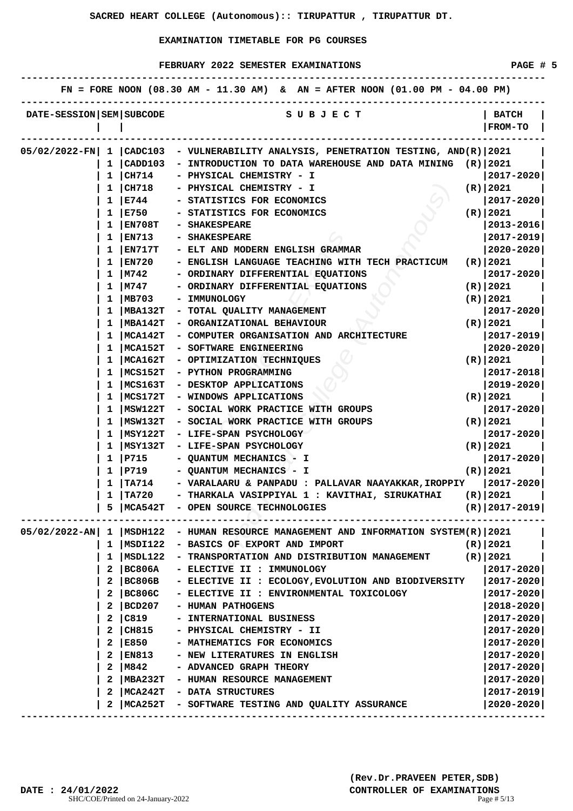|                          |              |                 | FN = FORE NOON $(08.30 \text{ AM} - 11.30 \text{ AM})$ & AN = AFTER NOON $(01.00 \text{ PM} - 04.00 \text{ PM})$ |                                |
|--------------------------|--------------|-----------------|------------------------------------------------------------------------------------------------------------------|--------------------------------|
| DATE-SESSION SEM SUBCODE |              |                 | S U B J E C T                                                                                                    | <b>BATCH</b><br><b>FROM-TO</b> |
| 05/02/2022-FN  1 CADC103 |              |                 | - VULNERABILITY ANALYSIS, PENETRATION TESTING, AND(R) 2021                                                       |                                |
|                          | 1.           | CADD103         | - INTRODUCTION TO DATA WAREHOUSE AND DATA MINING                                                                 | $(R)$  2021                    |
|                          |              | $1 \vert CH714$ | - PHYSICAL CHEMISTRY - I                                                                                         | 2017-2020                      |
|                          |              | $1 \vert CH718$ | - PHYSICAL CHEMISTRY - I                                                                                         | (R)   2021                     |
|                          | $\mathbf{1}$ | E744            | - STATISTICS FOR ECONOMICS                                                                                       | 2017-2020                      |
|                          | 1            | E750            | - STATISTICS FOR ECONOMICS                                                                                       | (R)   2021                     |
|                          | 1            | EN708T          | - SHAKESPEARE                                                                                                    | $ 2013 - 2016 $                |
|                          | 1            | EN713           | - SHAKESPEARE                                                                                                    | 2017-2019                      |
|                          |              | EN717T          | - ELT AND MODERN ENGLISH GRAMMAR                                                                                 | $2020 - 2020$                  |
|                          | 1            | EN720           | - ENGLISH LANGUAGE TEACHING WITH TECH PRACTICUM                                                                  | $(R)$  2021                    |
|                          | ı            | M742            | - ORDINARY DIFFERENTIAL EQUATIONS                                                                                | 2017-2020                      |
|                          | 1            | M747            | - ORDINARY DIFFERENTIAL EQUATIONS                                                                                | $(R)$   2021                   |
|                          | 1            | MB703           | - IMMUNOLOGY                                                                                                     | $(R)$   2021                   |
|                          | 1            | <b>MBA132T</b>  | - TOTAL QUALITY MANAGEMENT                                                                                       | 2017-2020                      |
|                          | 1            | MBA142T         | - ORGANIZATIONAL BEHAVIOUR                                                                                       | (R)   2021                     |
|                          |              | MCA142T         | - COMPUTER ORGANISATION AND ARCHITECTURE                                                                         | 2017-2019                      |
|                          |              | MCA152T         | - SOFTWARE ENGINEERING                                                                                           | 2020-2020                      |
|                          | ı            | MCA162T         | - OPTIMIZATION TECHNIQUES                                                                                        | (R)   2021                     |
|                          | 1            | MCS152T         | - PYTHON PROGRAMMING                                                                                             | $ 2017 - 2018 $                |
|                          | 1            | MCS163T         | - DESKTOP APPLICATIONS                                                                                           | 2019-2020                      |
|                          | 1            | MCS172T         | - WINDOWS APPLICATIONS                                                                                           | (R) 2021                       |
|                          | 1            | MSW122T         | - SOCIAL WORK PRACTICE WITH GROUPS                                                                               | 2017-2020                      |
|                          | ı            | MSW132T         | - SOCIAL WORK PRACTICE WITH GROUPS                                                                               | (R)   2021                     |
|                          |              | MSY122T         | - LIFE-SPAN PSYCHOLOGY                                                                                           | $2017 - 2020$                  |
|                          |              | MSY132T         | - LIFE-SPAN PSYCHOLOGY                                                                                           | (R)   2021                     |
|                          | 1            | P715            | - QUANTUM MECHANICS - I                                                                                          | 2017-2020                      |
|                          | $\mathbf{1}$ | P719            | - QUANTUM MECHANICS - I                                                                                          | $(R)$   2021                   |
|                          | $\mathbf{1}$ | $\mid$ TA714    | - VARALAARU & PANPADU : PALLAVAR NAAYAKKAR,IROPPIY                                                               | $ 2017 - 2020 $                |
|                          |              | TA720           | - THARKALA VASIPPIYAL 1 : KAVITHAI, SIRUKATHAI                                                                   | $(R)$   2021                   |
|                          |              |                 | 5   MCA542T - OPEN SOURCE TECHNOLOGIES                                                                           | $(R)$   2017-2019              |
|                          |              |                 |                                                                                                                  |                                |
|                          |              |                 | 05/02/2022-AN   1   MSDH122 - HUMAN RESOURCE MANAGEMENT AND INFORMATION SYSTEM(R)   2021                         |                                |
|                          |              | 1  MSDI122      | - BASICS OF EXPORT AND IMPORT                                                                                    | (R)   2021                     |
|                          |              | 1  MSDL122      | - TRANSPORTATION AND DISTRIBUTION MANAGEMENT                                                                     | (R)   2021                     |
|                          | 2            | <b>BC806A</b>   | - ELECTIVE II : IMMUNOLOGY                                                                                       | 2017-2020                      |
|                          | $\mathbf{2}$ | BC806B          | - ELECTIVE II : ECOLOGY, EVOLUTION AND BIODIVERSITY                                                              | $ 2017 - 2020 $                |
|                          | 2            | BC806C          | - ELECTIVE II : ENVIRONMENTAL TOXICOLOGY                                                                         | 2017-2020                      |
|                          | 2            | BCD207          | - HUMAN PATHOGENS                                                                                                | $2018 - 2020$                  |
|                          | 2            | C819            | - INTERNATIONAL BUSINESS                                                                                         | $2017 - 2020$                  |
|                          | 2            | CH815           | - PHYSICAL CHEMISTRY - II                                                                                        | $2017 - 2020$                  |
|                          | 2            | E850            | - MATHEMATICS FOR ECONOMICS                                                                                      | $2017 - 2020$                  |
|                          | 2            | EN813           | - NEW LITERATURES IN ENGLISH                                                                                     | 2017-2020                      |
|                          | 2            | M842            | - ADVANCED GRAPH THEORY                                                                                          | $2017 - 2020$                  |
|                          | 2            |                 | MBA232T - HUMAN RESOURCE MANAGEMENT                                                                              | 2017-2020                      |
|                          | 2            |                 | MCA242T - DATA STRUCTURES                                                                                        | $2017 - 2019$                  |
|                          | 2            |                 | MCA252T - SOFTWARE TESTING AND QUALITY ASSURANCE                                                                 | $2020 - 2020$                  |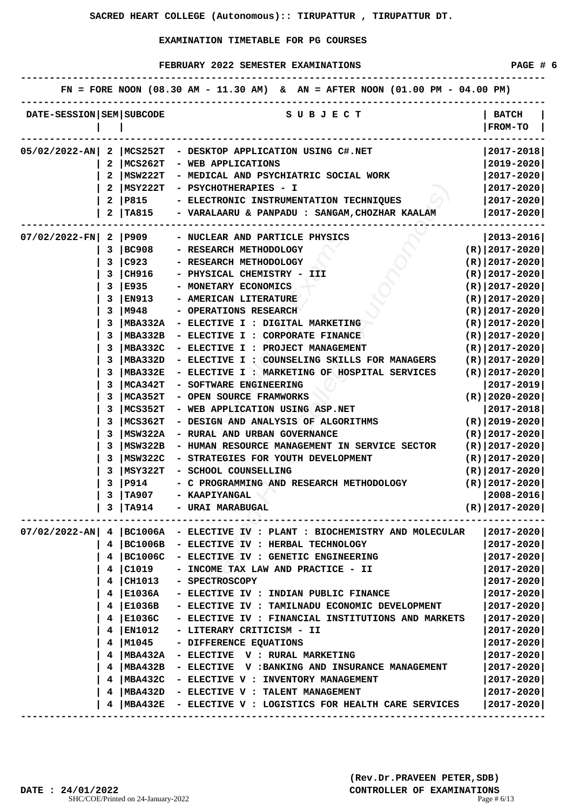|                              |    |                | FN = FORE NOON $(08.30 \text{ AM} - 11.30 \text{ AM})$ & AN = AFTER NOON $(01.00 \text{ PM} - 04.00 \text{ PM})$ |                                |
|------------------------------|----|----------------|------------------------------------------------------------------------------------------------------------------|--------------------------------|
| DATE-SESSION   SEM   SUBCODE |    |                | S U B J E C T                                                                                                    | <b>BATCH</b><br><b>FROM-TO</b> |
| 05/02/2022-AN                | 2  | MCS252T        | - DESKTOP APPLICATION USING C#.NET                                                                               | 2017-2018                      |
|                              | 2  | MCS262T        | - WEB APPLICATIONS                                                                                               | 2019-2020                      |
|                              | 2  | MSW222T        | - MEDICAL AND PSYCHIATRIC SOCIAL WORK                                                                            | $ 2017 - 2020 $                |
|                              |    | MSY222T        | - PSYCHOTHERAPIES - I                                                                                            | $ 2017 - 2020 $                |
|                              | 2  | P815           | - ELECTRONIC INSTRUMENTATION TECHNIQUES                                                                          | $ 2017 - 2020 $                |
|                              |    | <b>TA815</b>   | - VARALAARU & PANPADU : SANGAM, CHOZHAR KAALAM                                                                   | 2017-2020                      |
| $07/02/2022-FN$              |    | 2   P909       | - NUCLEAR AND PARTICLE PHYSICS                                                                                   | $ 2013 - 2016 $                |
|                              | 3  | <b>BC908</b>   | - RESEARCH METHODOLOGY                                                                                           | $(R)$   2017-2020              |
|                              | 3  | $\big $ C923   | - RESEARCH METHODOLOGY                                                                                           | $(R) 2017-2020 $               |
|                              | 3  | CH916          | - PHYSICAL CHEMISTRY - III                                                                                       | $(R)   2017 - 2020  $          |
|                              | 3  | E935           | - MONETARY ECONOMICS                                                                                             | $(R)   2017 - 2020  $          |
|                              | 3  | <b>EN913</b>   | - AMERICAN LITERATURE                                                                                            | $(R)$   2017-2020              |
|                              | 3  | M948           | - OPERATIONS RESEARCH                                                                                            | $(R)$  2017-2020               |
|                              | 3  | <b>MBA332A</b> | - ELECTIVE I : DIGITAL MARKETING                                                                                 | $(R)$   2017-2020              |
|                              | 3  | MBA332B        | - ELECTIVE I : CORPORATE FINANCE                                                                                 | $(R)$   2017-2020              |
|                              | 3  | <b>MBA332C</b> | - ELECTIVE I : PROJECT MANAGEMENT                                                                                | $(R)$  2017-2020               |
|                              | 3  | MBA332D        | - ELECTIVE I : COUNSELING SKILLS FOR MANAGERS                                                                    | $(R) 2017-2020 $               |
|                              | 3  | MBA332E        | - ELECTIVE I : MARKETING OF HOSPITAL SERVICES                                                                    | $(R) 2017-2020 $               |
|                              | 3  | MCA342T        | - SOFTWARE ENGINEERING                                                                                           | 2017-2019                      |
|                              |    | MCA352T        | - OPEN SOURCE FRAMWORKS                                                                                          | $(R)   2020 - 2020  $          |
|                              |    | MCS352T        | - WEB APPLICATION USING ASP.NET                                                                                  | 2017-2018                      |
|                              |    | MCS362T        | - DESIGN AND ANALYSIS OF ALGORITHMS                                                                              | $(R)$  2019-2020               |
|                              | 3  | MSW322A        | - RURAL AND URBAN GOVERNANCE                                                                                     | $(R) 2017-2020 $               |
|                              | 3  | MSW322B        | - HUMAN RESOURCE MANAGEMENT IN SERVICE SECTOR                                                                    | $(R) 2017-2020 $               |
|                              | 3  | MSW322C        | - STRATEGIES FOR YOUTH DEVELOPMENT                                                                               | $(R) 2017-2020 $               |
|                              | 3  | MSY322T        | - SCHOOL COUNSELLING                                                                                             | $(R)   2017 - 2020  $          |
|                              | 3  | P914           | - C PROGRAMMING AND RESEARCH METHODOLOGY                                                                         | $(R)$   2017-2020              |
|                              | 3  | TA907          | - KAAPIYANGAL                                                                                                    | 2008-2016                      |
|                              |    | 3   T A914     | - URAI MARABUGAL                                                                                                 | $(R) 2017-2020 $               |
|                              |    |                |                                                                                                                  |                                |
| $07/02/2022 - AN$            |    |                | 4   BC1006A - ELECTIVE IV : PLANT : BIOCHEMISTRY AND MOLECULAR                                                   | 2017-2020                      |
|                              | 4. | BC1006B        | - ELECTIVE IV : HERBAL TECHNOLOGY                                                                                | $2017 - 2020$                  |
|                              |    | 4   BC1006C    | - ELECTIVE IV : GENETIC ENGINEERING                                                                              | $2017 - 2020$                  |
|                              | 4  | C1019          | - INCOME TAX LAW AND PRACTICE - II                                                                               | $ 2017 - 2020 $                |
|                              | 4  | CH1013         | - SPECTROSCOPY                                                                                                   | 2017-2020                      |
|                              | 4  | E1036A         | - ELECTIVE IV : INDIAN PUBLIC FINANCE                                                                            | $2017 - 2020$                  |
|                              |    | 4   E1036B     | - ELECTIVE IV : TAMILNADU ECONOMIC DEVELOPMENT                                                                   | 2017-2020                      |
|                              | 4  | E1036C         | - ELECTIVE IV : FINANCIAL INSTITUTIONS AND MARKETS                                                               | 2017-2020                      |
|                              | 4  | <b>EN1012</b>  | - LITERARY CRITICISM - II                                                                                        | $2017 - 2020$                  |
|                              | 4  | M1045          | - DIFFERENCE EQUATIONS                                                                                           | 2017-2020                      |
|                              | 4  | MBA432A        | - ELECTIVE V : RURAL MARKETING                                                                                   | 2017-2020                      |
|                              | 4  | MBA432B        | - ELECTIVE V :BANKING AND INSURANCE MANAGEMENT                                                                   | 2017-2020                      |
|                              | 4  |                | MBA432C - ELECTIVE V : INVENTORY MANAGEMENT                                                                      | 2017-2020                      |
|                              | 4  |                | MBA432D - ELECTIVE V : TALENT MANAGEMENT                                                                         | 2017-2020                      |
|                              |    | MBA432E        | - ELECTIVE V : LOGISTICS FOR HEALTH CARE SERVICES                                                                | $ 2017 - 2020 $                |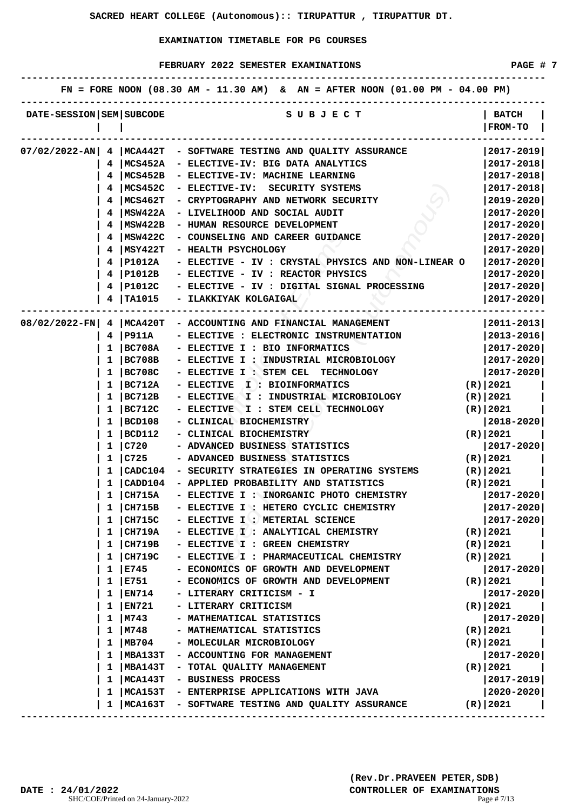|                              |              |                | FN = FORE NOON $(08.30 \text{ AM} - 11.30 \text{ AM})$ & AN = AFTER NOON $(01.00 \text{ PM} - 04.00 \text{ PM})$ |                         |
|------------------------------|--------------|----------------|------------------------------------------------------------------------------------------------------------------|-------------------------|
| DATE-SESSION   SEM   SUBCODE |              |                | S U B J E C T                                                                                                    | <b>BATCH</b><br>FROM-TO |
|                              |              |                |                                                                                                                  |                         |
| $07/02/2022 - AN$            | 4            |                | MCA442T - SOFTWARE TESTING AND QUALITY ASSURANCE                                                                 | $2017 - 2019$           |
|                              | 4            | MCS452A        | - ELECTIVE-IV: BIG DATA ANALYTICS                                                                                | 2017-2018               |
|                              |              | MCS452B        | - ELECTIVE-IV: MACHINE LEARNING                                                                                  | 2017-2018               |
|                              |              | MCS452C        | - ELECTIVE-IV:<br>SECURITY SYSTEMS                                                                               | $2017 - 2018$           |
|                              | 4            | MCS462T        | - CRYPTOGRAPHY AND NETWORK SECURITY                                                                              | $2019 - 2020$           |
|                              |              | MSW422A        | - LIVELIHOOD AND SOCIAL AUDIT                                                                                    | $2017 - 2020$           |
|                              | 4            | MSW422B        | - HUMAN RESOURCE DEVELOPMENT                                                                                     | $2017 - 2020$           |
|                              | 4            | MSW422C        | - COUNSELING AND CAREER GUIDANCE                                                                                 | 2017-2020               |
|                              | 4            | MSY422T        | - HEALTH PSYCHOLOGY                                                                                              | $2017 - 2020$           |
|                              | 4            | P1012A         | - ELECTIVE - IV : CRYSTAL PHYSICS AND NON-LINEAR O                                                               | 2017-2020               |
|                              | 4            | P1012B         | - ELECTIVE - IV : REACTOR PHYSICS                                                                                | $2017 - 2020$           |
|                              |              | P1012C         | - ELECTIVE - IV : DIGITAL SIGNAL PROCESSING                                                                      | $2017 - 2020$           |
|                              |              | <b>TA1015</b>  | - ILAKKIYAK KOLGAIGAL                                                                                            | 2017-2020               |
| 08/02/2022-FN                | 4            | MCA420T        | - ACCOUNTING AND FINANCIAL MANAGEMENT                                                                            | $ 2011 - 2013 $         |
|                              | 4            | P911A          | - ELECTIVE : ELECTRONIC INSTRUMENTATION                                                                          | 2013-2016               |
|                              | 1            | BC708A         | - ELECTIVE I : BIO INFORMATICS                                                                                   | 2017-2020               |
|                              | 1            | BC708B         | - ELECTIVE I : INDUSTRIAL MICROBIOLOGY                                                                           | 2017-2020               |
|                              | 1            | BC708C         | - ELECTIVE I : STEM CEL<br><b>TECHNOLOGY</b>                                                                     | 2017-2020               |
|                              | 1            | BC712A         | <b>- ELECTIVE</b><br><b>I : BIOINFORMATICS</b>                                                                   | $(R)$   2021            |
|                              | 1            | BC712B         | - ELECTIVE (<br>I : INDUSTRIAL MICROBIOLOGY                                                                      | $(R)$   2021            |
|                              | 1            | BC712C         | - ELECTIVE<br>I : STEM CELL TECHNOLOGY                                                                           | $(R)$   2021            |
|                              | 1            | BCD108         | CLINICAL BIOCHEMISTRY                                                                                            | 2018-2020               |
|                              | 1            | BCD112         | - CLINICAL BIOCHEMISTRY                                                                                          | $(R)$  2021             |
|                              | 1            | C720           | - ADVANCED BUSINESS STATISTICS                                                                                   | 2017-2020               |
|                              | 1            | C725           | - ADVANCED BUSINESS STATISTICS                                                                                   | $(R)$   2021            |
|                              | 1            | $ $ CADC $104$ | - SECURITY STRATEGIES IN OPERATING SYSTEMS                                                                       | $(R)$   2021            |
|                              |              | CADD104        | - APPLIED PROBABILITY AND STATISTICS                                                                             | $(R)$   2021            |
|                              | 1            | $ $ CH715A     | - ELECTIVE I : INORGANIC PHOTO CHEMISTRY                                                                         | 2017-2020               |
|                              | ı            | CH715B         | - ELECTIVE I : HETERO CYCLIC CHEMISTRY                                                                           | 2017-2020               |
|                              | 1            | CH715C         | - ELECTIVE I : METERIAL SCIENCE                                                                                  | 2017-2020               |
|                              | 1            | CH719A         | - ELECTIVE I : ANALYTICAL CHEMISTRY                                                                              | $(R)$   2021            |
|                              | 1            | CH719B         | - ELECTIVE I : GREEN CHEMISTRY                                                                                   | $(R)$   2021            |
|                              | 1            | CH719C         | - ELECTIVE I : PHARMACEUTICAL CHEMISTRY                                                                          | (R)   2021              |
|                              | 1            | E745           | - ECONOMICS OF GROWTH AND DEVELOPMENT                                                                            | 2017-2020               |
|                              | 1            | E751           | - ECONOMICS OF GROWTH AND DEVELOPMENT                                                                            | (R)   2021              |
|                              | $\mathbf{1}$ | EN714          | - LITERARY CRITICISM - I                                                                                         | 2017-2020               |
|                              | 1            | EN721          | - LITERARY CRITICISM                                                                                             | (R)   2021              |
|                              | 1            | M743           | - MATHEMATICAL STATISTICS                                                                                        | 2017-2020               |
|                              | 1            | M748           | - MATHEMATICAL STATISTICS                                                                                        | (R)   2021              |
|                              | 1            | MB704          | - MOLECULAR MICROBIOLOGY                                                                                         | $(R)$   2021            |
|                              | 1            | MBA133T        | - ACCOUNTING FOR MANAGEMENT                                                                                      | 2017-2020               |
|                              | 1            | MBA143T        | - TOTAL QUALITY MANAGEMENT                                                                                       | (R)   2021              |
|                              | 1            | MCA143T        | - BUSINESS PROCESS                                                                                               | $2017 - 2019$           |
|                              | ı            | MCA153T        | - ENTERPRISE APPLICATIONS WITH JAVA                                                                              | 2020-2020               |
|                              | ı.           | MCA163T        | - SOFTWARE TESTING AND QUALITY ASSURANCE                                                                         | (R)   2021              |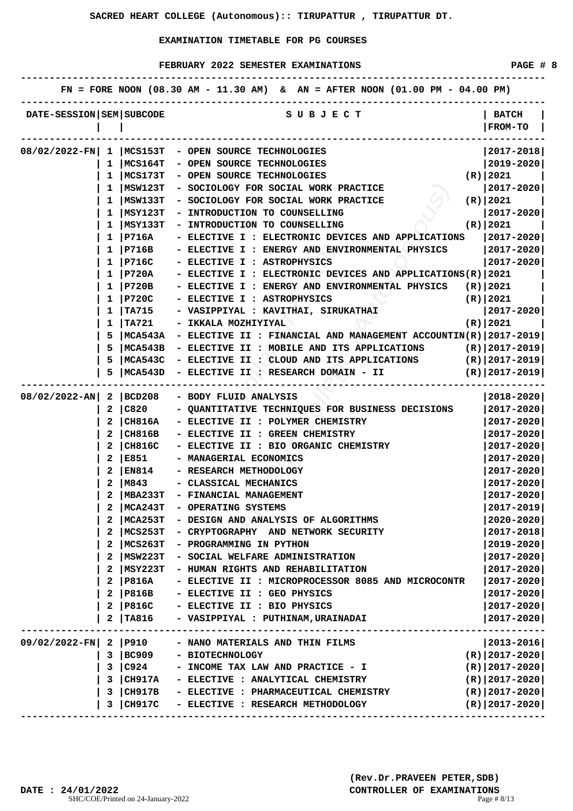|                          |    |               | FN = FORE NOON (08.30 AM - 11.30 AM) & AN = AFTER NOON (01.00 PM - 04.00 PM) |                                |
|--------------------------|----|---------------|------------------------------------------------------------------------------|--------------------------------|
| DATE-SESSION SEM SUBCODE |    |               | S U B J E C T                                                                | <b>BATCH</b><br><b>FROM-TO</b> |
|                          |    |               | 08/02/2022-FN  1   MCS153T - OPEN SOURCE TECHNOLOGIES                        | $ 2017 - 2018 $                |
|                          |    | 1   MCS164T   | - OPEN SOURCE TECHNOLOGIES                                                   | $ 2019 - 2020 $                |
|                          |    | 1   MCS173T   | - OPEN SOURCE TECHNOLOGIES                                                   | (R)   2021                     |
|                          |    | $1$  MSW123T  | - SOCIOLOGY FOR SOCIAL WORK PRACTICE                                         | $ 2017 - 2020 $                |
|                          |    | 1   MSW133T   | - SOCIOLOGY FOR SOCIAL WORK PRACTICE                                         | (R) 2021                       |
|                          |    | $1$   MSY123T | - INTRODUCTION TO COUNSELLING                                                | 2017-2020                      |
|                          |    | MSY133T       | - INTRODUCTION TO COUNSELLING                                                | (R) 2021                       |
|                          | 1  | P716A         | - ELECTIVE I : ELECTRONIC DEVICES AND APPLICATIONS                           | $ 2017 - 2020 $                |
|                          |    | 1   P716B     | - ELECTIVE I : ENERGY AND ENVIRONMENTAL PHYSICS                              | $ 2017 - 2020 $                |
|                          |    | 1   P716C     | - ELECTIVE I : ASTROPHYSICS                                                  | $ 2017 - 2020 $                |
|                          |    | 1   P720A     | - ELECTIVE I : ELECTRONIC DEVICES AND APPLICATIONS(R) 2021                   |                                |
|                          |    | $1$   P720B   | - ELECTIVE I : ENERGY AND ENVIRONMENTAL PHYSICS $(R)$ 2021                   |                                |
|                          |    | 1   P720C     | - ELECTIVE I : ASTROPHYSICS                                                  | (R) 2021)                      |
|                          |    | 1   TA715     | - VASIPPIYAL : KAVITHAI, SIRUKATHAI                                          | $ 2017 - 2020 $                |
|                          | 1  | TA721         | - IKKALA MOZHIYIYAL                                                          | (R)   2021                     |
|                          | 5. | MCA543A       | - ELECTIVE II : FINANCIAL AND MANAGEMENT ACCOUNTIN(R) $ 2017-2019 $          |                                |
|                          | 5  | MCA543B       | - ELECTIVE II : MOBILE AND ITS APPLICATIONS                                  | $(R) 2017-2019 $               |
|                          | 5. | MCA543C       | - ELECTIVE II : CLOUD AND ITS APPLICATIONS                                   | (R) 2017-2019                  |
|                          |    | MCA543D       | - ELECTIVE II : RESEARCH DOMAIN - II                                         | $(R)$  2017-2019               |
|                          |    |               |                                                                              |                                |
| $08/02/2022 - AN$        | 2  | BCD208        | - BODY FLUID ANALYSIS                                                        | 2018–2020                      |
|                          | 2  | C820          | - QUANTITATIVE TECHNIQUES FOR BUSINESS DECISIONS                             | $ 2017 - 2020 $                |
|                          |    | CH816A        | - ELECTIVE II : POLYMER CHEMISTRY                                            | 2017-2020                      |
|                          |    | CH816B        | - ELECTIVE II : GREEN CHEMISTRY                                              | 2017-2020                      |
|                          |    | 2   CH816C    | - ELECTIVE II : BIO ORGANIC CHEMISTRY                                        | $ 2017 - 2020 $                |
|                          |    | 2 E851        | - MANAGERIAL ECONOMICS                                                       | 2017-2020                      |
|                          |    | 2   EN814     | - RESEARCH METHODOLOGY                                                       | 2017-2020                      |
|                          |    | 2   M843      | - CLASSICAL MECHANICS                                                        | $ 2017 - 2020 $                |
|                          |    | MBA233T       | - FINANCIAL MANAGEMENT                                                       | 2017-2020                      |
|                          |    | 2   MCA243T   | - OPERATING SYSTEMS                                                          | $ 2017 - 2019 $                |
|                          |    | MCA253T       | - DESIGN AND ANALYSIS OF ALGORITHMS                                          | $2020 - 2020$                  |
|                          |    | MCS253T       | - CRYPTOGRAPHY AND NETWORK SECURITY                                          | 2017-2018                      |
|                          | 2  | MCS263T       | - PROGRAMMING IN PYTHON                                                      | $2019 - 2020$                  |
|                          | 2  | MSW223T       | - SOCIAL WELFARE ADMINISTRATION                                              | $2017 - 2020$                  |
|                          | 2  | MSY223T       | - HUMAN RIGHTS AND REHABILITATION                                            | $2017 - 2020$                  |
|                          | 2  | P816A         | - ELECTIVE II : MICROPROCESSOR 8085 AND MICROCONTR                           | 2017-2020                      |
|                          | 2  | P816B         | - ELECTIVE II : GEO PHYSICS                                                  | 2017-2020                      |
|                          | 2  | P816C         | - ELECTIVE II : BIO PHYSICS                                                  | 2017-2020                      |
|                          |    | TA816         | - VASIPPIYAL : PUTHINAM, URAINADAI                                           | 2017-2020                      |
|                          |    |               |                                                                              |                                |
| 09/02/2022-FN            |    | 2   P910      | - NANO MATERIALS AND THIN FILMS                                              | $ 2013 - 2016 $                |
|                          | 3  | BC909         | - BIOTECHNOLOGY                                                              | $(R)$  2017-2020               |
|                          |    | 3 C924        | - INCOME TAX LAW AND PRACTICE - I                                            | $(R) 2017-2020 $               |
|                          | 3  | <b>CH917A</b> | - ELECTIVE : ANALYTICAL CHEMISTRY                                            | $(R)$  2017-2020               |
|                          | 3  | CH917B        | - ELECTIVE : PHARMACEUTICAL CHEMISTRY                                        | $(R)   2017 - 2020  $          |
|                          | 3  | <b>CH917C</b> | - ELECTIVE : RESEARCH METHODOLOGY                                            | $(R)$  2017-2020               |
|                          |    |               |                                                                              |                                |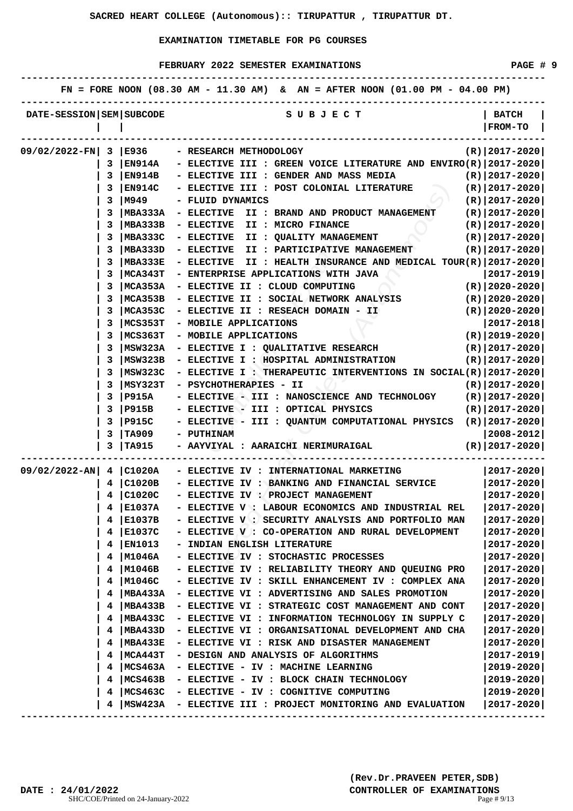|                              |   |                | FN = FORE NOON $(08.30 \text{ AM} - 11.30 \text{ AM})$ & AN = AFTER NOON $(01.00 \text{ PM} - 04.00 \text{ PM})$ |                       |
|------------------------------|---|----------------|------------------------------------------------------------------------------------------------------------------|-----------------------|
| DATE-SESSION   SEM   SUBCODE |   |                | S U B J E C T                                                                                                    | <b>BATCH</b>          |
|                              |   |                |                                                                                                                  | FROM-TO               |
|                              |   |                |                                                                                                                  |                       |
| 09/02/2022-FN                | 3 | E936           | - RESEARCH METHODOLOGY                                                                                           | $(R)$   2017-2020     |
|                              | 3 | <b>EN914A</b>  | - ELECTIVE III : GREEN VOICE LITERATURE AND ENVIRO(R) $ 2017-2020 $                                              |                       |
|                              | 3 | EN914B         | - ELECTIVE III : GENDER AND MASS MEDIA                                                                           | $(R)$  2017-2020      |
|                              | 3 | <b>EN914C</b>  | - ELECTIVE III : POST COLONIAL LITERATURE                                                                        | $(R)$  2017-2020      |
|                              | 3 | M949           | - FLUID DYNAMICS                                                                                                 | $(R)$   2017-2020     |
|                              |   | <b>MBA333A</b> | - ELECTIVE<br>II : BRAND AND PRODUCT MANAGEMENT                                                                  | $(R)$  2017-2020      |
|                              |   | MBA333B        | <b>- ELECTIVE</b><br>II : MICRO FINANCE                                                                          | $(R)$   2017-2020     |
|                              |   | <b>MBA333C</b> | - ELECTIVE<br>II : QUALITY MANAGEMENT                                                                            | $(R)$  2017-2020      |
|                              | 3 | <b>MBA333D</b> | - ELECTIVE<br>II : PARTICIPATIVE MANAGEMENT                                                                      | $(R)$   2017-2020     |
|                              | 3 | MBA333E        | - ELECTIVE<br>II : HEALTH INSURANCE AND MEDICAL TOUR(R)   2017-2020                                              |                       |
|                              | 3 | MCA343T        | - ENTERPRISE APPLICATIONS WITH JAVA                                                                              | 2017-2019             |
|                              | 3 | MCA353A        | - ELECTIVE II : CLOUD COMPUTING                                                                                  | $(R)$  2020-2020      |
|                              |   | MCA353B        | - ELECTIVE II : SOCIAL NETWORK ANALYSIS                                                                          | $(R)$  2020-2020      |
|                              |   | MCA353C        | - ELECTIVE II : RESEACH DOMAIN - II                                                                              | $(R)$  2020-2020      |
|                              |   | MCS353T        | - MOBILE APPLICATIONS                                                                                            | 2017-2018             |
|                              | 3 | MCS363T        | - MOBILE APPLICATIONS                                                                                            | $(R)$  2019-2020      |
|                              | 3 | MSW323A        | - ELECTIVE I : QUALITATIVE RESEARCH                                                                              | $(R)   2017 - 2020  $ |
|                              | 3 | MSW323B        | - ELECTIVE I : HOSPITAL ADMINISTRATION                                                                           | $(R)$  2017-2020      |
|                              | 3 | MSW323C        | - ELECTIVE I : THERAPEUTIC INTERVENTIONS IN SOCIAL(R)   2017-2020                                                |                       |
|                              | 3 | MSY323T        | - PSYCHOTHERAPIES - II                                                                                           | $(R)$  2017-2020      |
|                              | 3 | <b>P915A</b>   | - ELECTIVE - III : NANOSCIENCE AND TECHNOLOGY                                                                    | $(R)   2017 - 2020  $ |
|                              | 3 | P915B          | - ELECTIVE - III : OPTICAL PHYSICS                                                                               | $(R)   2017 - 2020  $ |
|                              | 3 | <b>P915C</b>   | ELECTIVE - III : QUANTUM COMPUTATIONAL PHYSICS                                                                   | $(R)$   2017-2020     |
|                              | 3 | <b>TA909</b>   | - PUTHINAM                                                                                                       | 2008–2012             |
|                              | 3 | $T_A915$       | - AAYVIYAL : AARAICHI NERIMURAIGAL                                                                               | $(R)$   2017-2020     |
| 09/02/2022-AN 4 C1020A       |   |                | - ELECTIVE IV : INTERNATIONAL MARKETING                                                                          | 2017-2020             |
|                              | 4 | C1020B         | - ELECTIVE IV : BANKING AND FINANCIAL SERVICE                                                                    | 2017-2020             |
|                              |   | C1020C         | - ELECTIVE IV : PROJECT MANAGEMENT                                                                               | 2017-2020             |
|                              |   | E1037A         | - ELECTIVE V : LABOUR ECONOMICS AND INDUSTRIAL REL                                                               | $2017 - 2020$         |
|                              | 4 | E1037B         | - ELECTIVE V : SECURITY ANALYSIS AND PORTFOLIO MAN                                                               | $2017 - 2020$         |
|                              |   | E1037C         | - ELECTIVE V : CO-OPERATION AND RURAL DEVELOPMENT                                                                | $2017 - 2020$         |
|                              | 4 | EN1013         | - INDIAN ENGLISH LITERATURE                                                                                      | $2017 - 2020$         |
|                              | 4 | M1046A         | - ELECTIVE IV : STOCHASTIC PROCESSES                                                                             | 2017-2020             |
|                              | 4 | M1046B         | - ELECTIVE IV : RELIABILITY THEORY AND QUEUING PRO                                                               | 2017-2020             |
|                              | 4 | M1046C         | - ELECTIVE IV : SKILL ENHANCEMENT IV : COMPLEX ANA                                                               | $2017 - 2020$         |
|                              | 4 | MBA433A        | - ELECTIVE VI : ADVERTISING AND SALES PROMOTION                                                                  | $2017 - 2020$         |
|                              |   | MBA433B        | - ELECTIVE VI : STRATEGIC COST MANAGEMENT AND CONT                                                               | $2017 - 2020$         |
|                              | 4 | <b>MBA433C</b> | - ELECTIVE VI : INFORMATION TECHNOLOGY IN SUPPLY C                                                               | $2017 - 2020$         |
|                              | 4 | MBA433D        | - ELECTIVE VI : ORGANISATIONAL DEVELOPMENT AND CHA                                                               | 2017-2020             |
|                              | 4 | MBA433E        | - ELECTIVE VI : RISK AND DISASTER MANAGEMENT                                                                     | 2017-2020             |
|                              | 4 | MCA443T        | - DESIGN AND ANALYSIS OF ALGORITHMS                                                                              | $2017 - 2019$         |
|                              | 4 | MCS463A        | - ELECTIVE - IV : MACHINE LEARNING                                                                               | $2019 - 2020$         |
|                              | 4 | MCS463B        | - ELECTIVE - IV : BLOCK CHAIN TECHNOLOGY                                                                         | $2019 - 2020$         |
|                              | 4 | MCS463C        | - ELECTIVE - IV : COGNITIVE COMPUTING                                                                            | $2019 - 2020$         |
|                              |   | MSW423A        | - ELECTIVE III : PROJECT MONITORING AND EVALUATION                                                               | 2017-2020             |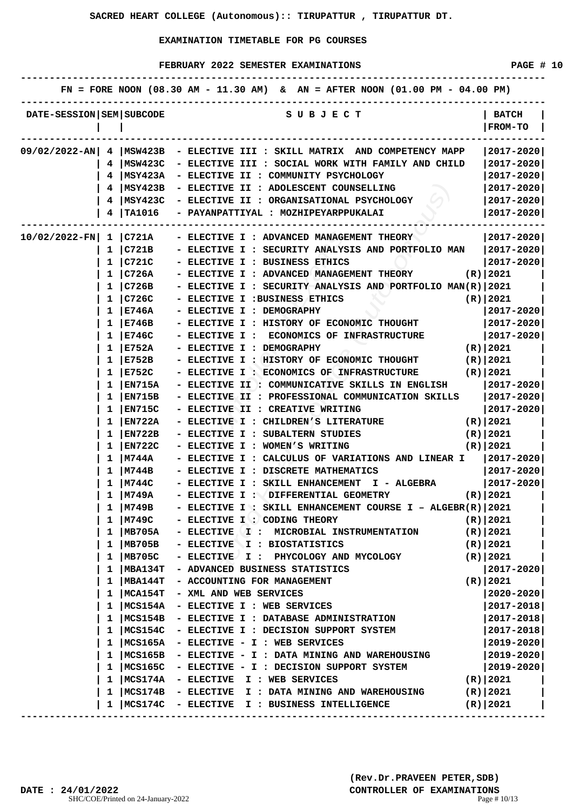|                          |   |                 | FN = FORE NOON $(08.30 \text{ AM} - 11.30 \text{ AM})$ & AN = AFTER NOON $(01.00 \text{ PM} - 04.00 \text{ PM})$ |                           |
|--------------------------|---|-----------------|------------------------------------------------------------------------------------------------------------------|---------------------------|
| DATE-SESSION SEM SUBCODE |   |                 | S U B J E C T                                                                                                    | <b>BATCH</b><br>  FROM-TO |
|                          |   |                 | $09/02/2022$ -AN 4   MSW423B - ELECTIVE III : SKILL MATRIX AND COMPETENCY MAPP                                   | $ 2017 - 2020 $           |
|                          |   |                 | 4  MSW423C - ELECTIVE III : SOCIAL WORK WITH FAMILY AND CHILD                                                    | $ 2017 - 2020 $           |
|                          |   |                 | 4   MSY423A - ELECTIVE II : COMMUNITY PSYCHOLOGY                                                                 | 2017-2020                 |
|                          |   |                 | 4   MSY423B - ELECTIVE II : ADOLESCENT COUNSELLING                                                               | $ 2017 - 2020 $           |
|                          | 4 |                 | MSY423C - ELECTIVE II : ORGANISATIONAL PSYCHOLOGY                                                                | $ 2017 - 2020 $           |
|                          | 4 |                 | TA1016 - PAYANPATTIYAL : MOZHIPEYARPPUKALAI                                                                      | $ 2017 - 2020 $           |
|                          |   |                 |                                                                                                                  |                           |
|                          |   |                 | $10/02/2022$ -FN  1   C721A - ELECTIVE I : ADVANCED MANAGEMENT THEORY                                            | $ 2017 - 2020 $           |
|                          |   |                 | 1   C721B - ELECTIVE I : SECURITY ANALYSIS AND PORTFOLIO MAN   2017-2020                                         |                           |
|                          |   | 1   C721C       | - ELECTIVE I : BUSINESS ETHICS                                                                                   | $ 2017 - 2020 $           |
|                          |   | $1 \vert$ C726A | - ELECTIVE I : ADVANCED MANAGEMENT THEORY<br>(R)   2021                                                          |                           |
|                          |   | $1 \vert$ C726B | - ELECTIVE I : SECURITY ANALYSIS AND PORTFOLIO MAN(R) 2021                                                       |                           |
|                          |   | $1 \vert C726C$ | - ELECTIVE I : BUSINESS ETHICS                                                                                   | $(R)$   2021              |
|                          | 1 | E746A           | - ELECTIVE I : DEMOGRAPHY                                                                                        | $ 2017 - 2020 $           |
|                          |   | E746B           | - ELECTIVE I : HISTORY OF ECONOMIC THOUGHT                                                                       | $ 2017 - 2020 $           |
|                          | 1 | E746C           | - ELECTIVE I : ECONOMICS OF INFRASTRUCTURE                                                                       | $ 2017 - 2020 $           |
|                          | ı | E752A           | - ELECTIVE I : DEMOGRAPHY                                                                                        | (R) 2021)                 |
|                          |   | 1   E752B       | - ELECTIVE I : HISTORY OF ECONOMIC THOUGHT (R)   2021                                                            |                           |
|                          |   | 1   E752C       | - ELECTIVE I : ECONOMICS OF INFRASTRUCTURE (R)   2021                                                            |                           |
|                          | 1 | <b>EN715A</b>   | - ELECTIVE II : COMMUNICATIVE SKILLS IN ENGLISH                                                                  | $ 2017 - 2020 $           |
|                          | 1 | EN715B          | - ELECTIVE II : PROFESSIONAL COMMUNICATION SKILLS   2017-2020                                                    |                           |
|                          | 1 | <b>EN715C</b>   | - ELECTIVE II : CREATIVE WRITING                                                                                 | $ 2017 - 2020 $           |
|                          | ı | EN722A          | $(R)$ 2021<br>- ELECTIVE I : CHILDREN'S LITERATURE                                                               |                           |
|                          | 1 | EN722B          | - ELECTIVE I : SUBALTERN STUDIES                                                                                 | (R)   2021                |
|                          | ı | EN722C          | - ELECTIVE I : WOMEN'S WRITING                                                                                   | (R) 2021                  |
|                          | ı | <b>M744A</b>    | - ELECTIVE I : CALCULUS OF VARIATIONS AND LINEAR I $ 2017-2020 $                                                 |                           |
|                          |   | 1   M744B       | - ELECTIVE I : DISCRETE MATHEMATICS                                                                              | $ 2017 - 2020 $           |
|                          |   | 1  M744C        | - ELECTIVE I : SKILL ENHANCEMENT I - ALGEBRA                                                                     | $ 2017 - 2020 $           |
|                          |   | 1  M749A        | - ELECTIVE I : OIFFERENTIAL GEOMETRY                                                                             | (R) 2021)                 |
|                          |   | $1 \mid M749B$  | - ELECTIVE I : SKILL ENHANCEMENT COURSE I - ALGEBR(R)   2021                                                     |                           |
|                          | ı | M749C           | - ELECTIVE I : CODING THEORY                                                                                     | $(R)$   2021              |
|                          | 1 | MB705A          | - ELECTIVE I:<br>MICROBIAL INSTRUMENTATION                                                                       | $(R)$ 2021                |
|                          | ı | MB705B          | - ELECTIVE I : BIOSTATISTICS                                                                                     | $(R)$   2021              |
|                          | ı | MB705C          | - ELECTIVE I :<br>PHYCOLOGY AND MYCOLOGY                                                                         | $(R)$ 2021                |
|                          | ı | MBA134T         | - ADVANCED BUSINESS STATISTICS                                                                                   | 2017-2020                 |
|                          | 1 | <b>MBA144T</b>  | - ACCOUNTING FOR MANAGEMENT                                                                                      | $(R)$   2021              |
|                          | 1 | MCA154T         | - XML AND WEB SERVICES                                                                                           | 2020-2020                 |
|                          | 1 | MCS154A         | - ELECTIVE I : WEB SERVICES                                                                                      | 2017-2018                 |
|                          |   | MCS154B         | - ELECTIVE I : DATABASE ADMINISTRATION                                                                           | 2017-2018                 |
|                          | ı | MCS154C         | - ELECTIVE I : DECISION SUPPORT SYSTEM                                                                           | 2017-2018                 |
|                          | ı | MCS165A         | - ELECTIVE - I : WEB SERVICES                                                                                    | $ 2019 - 2020 $           |
|                          | ı |                 | $ MCS165B - ELECTIVE - I : DATA MINING AND WAREHOUSING$                                                          | $ 2019 - 2020 $           |
|                          | 1 |                 | MCS165C - ELECTIVE - I : DECISION SUPPORT SYSTEM                                                                 | $ 2019 - 2020 $           |
|                          | 1 |                 | MCS174A - ELECTIVE I : WEB SERVICES                                                                              | $(R)$ 2021                |
|                          | 1 |                 | MCS174B - ELECTIVE I : DATA MINING AND WAREHOUSING                                                               | (R)   2021                |
|                          | 1 |                 | MCS174C - ELECTIVE I : BUSINESS INTELLIGENCE                                                                     | $(R)$ 2021                |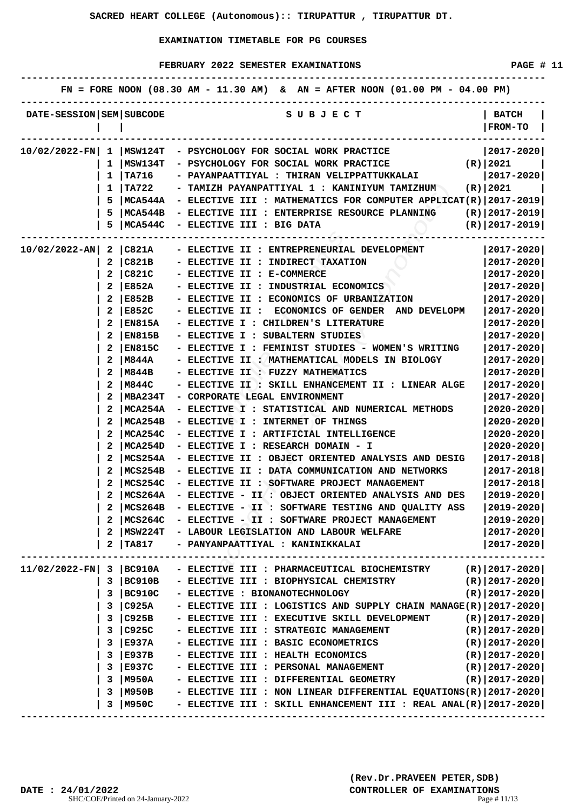FEBRUARY 2022 SEMESTER EXAMINATIONS **FEBRUARY** 2022 SEMESTER EXAMINATIONS

|                              |              |               | FN = FORE NOON $(08.30 \text{ AM} - 11.30 \text{ AM})$ & AN = AFTER NOON $(01.00 \text{ PM} - 04.00 \text{ PM})$ |                                |
|------------------------------|--------------|---------------|------------------------------------------------------------------------------------------------------------------|--------------------------------|
| DATE-SESSION   SEM   SUBCODE |              |               | S U B J E C T                                                                                                    | <b>BATCH</b><br><b>FROM-TO</b> |
|                              |              |               | 10/02/2022-FN  1   MSW124T - PSYCHOLOGY FOR SOCIAL WORK PRACTICE                                                 | $ 2017 - 2020 $                |
|                              | ı            | MSW134T       | $(R)$ 2021<br>- PSYCHOLOGY FOR SOCIAL WORK PRACTICE                                                              |                                |
|                              | $\mathbf{1}$ | <b>TA716</b>  | - PAYANPAATTIYAL : THIRAN VELIPPATTUKKALAI                                                                       | $ 2017 - 2020 $                |
|                              | $\mathbf{1}$ | TA722         | - TAMIZH PAYANPATTIYAL 1 : KANINIYUM TAMIZHUM                                                                    | (R)   2021                     |
|                              | 5            |               | MCA544A - ELECTIVE III : MATHEMATICS FOR COMPUTER APPLICAT(R) 2017-2019                                          |                                |
|                              | 5            | MCA544B       | - ELECTIVE III : ENTERPRISE RESOURCE PLANNING $(R)  2017-2019 $                                                  |                                |
|                              | 5            | MCA544C       | - ELECTIVE III : BIG DATA                                                                                        | $(R)$   2017-2019              |
| 10/02/2022-AN  2 C821A       |              |               | - ELECTIVE II : ENTREPRENEURIAL DEVELOPMENT                                                                      | ---------<br>$ 2017 - 2020 $   |
|                              | $\mathbf{2}$ | $ $ C821B     | - ELECTIVE II : INDIRECT TAXATION                                                                                | $2017 - 2020$                  |
|                              | 2            | $ $ C821C     | - ELECTIVE II : E-COMMERCE                                                                                       | 2017-2020                      |
|                              | 2            | E852A         | - ELECTIVE II : INDUSTRIAL ECONOMICS                                                                             | $2017 - 2020$                  |
|                              | 2            | E852B         | - ELECTIVE II : ECONOMICS OF URBANIZATION                                                                        | $ 2017 - 2020 $                |
|                              | 2            | E852C         | - ELECTIVE II : ECONOMICS OF GENDER AND DEVELOPM                                                                 | $2017 - 2020$                  |
|                              | 2            | EN815A        | - ELECTIVE I : CHILDREN'S LITERATURE                                                                             | $2017 - 2020$                  |
|                              |              | <b>EN815B</b> | - ELECTIVE I : SUBALTERN STUDIES                                                                                 | 2017-2020                      |
|                              |              | EN815C        | - ELECTIVE I : FEMINIST STUDIES - WOMEN'S WRITING                                                                | $2017 - 2020$                  |
|                              | 2            | M844A         | - ELECTIVE II : MATHEMATICAL MODELS IN BIOLOGY                                                                   | $2017 - 2020$                  |
|                              | 2            | M844B         | - ELECTIVE II : FUZZY MATHEMATICS                                                                                | 2017-2020                      |
|                              | 2            | M844C         | - ELECTIVE II : SKILL ENHANCEMENT II : LINEAR ALGE                                                               | $2017 - 2020$                  |
|                              | 2            | MBA234T       | - CORPORATE LEGAL ENVIRONMENT                                                                                    | 2017-2020                      |
|                              | 2            | MCA254A       | - ELECTIVE I : STATISTICAL AND NUMERICAL METHODS                                                                 | 2020-2020                      |
|                              | 2            | MCA254B       | - ELECTIVE I : INTERNET OF THINGS                                                                                | $2020 - 2020$                  |
|                              |              | MCA254C       | - ELECTIVE I : ARTIFICIAL INTELLIGENCE                                                                           | $2020 - 2020$                  |
|                              |              | MCA254D       | - ELECTIVE I : RESEARCH DOMAIN - I                                                                               | $2020 - 2020$                  |
|                              | 2            | MCS254A       | - ELECTIVE II : OBJECT ORIENTED ANALYSIS AND DESIG                                                               | 2017-2018                      |
|                              | 2            | MCS254B       | - ELECTIVE II : DATA COMMUNICATION AND NETWORKS                                                                  | 2017-2018                      |
|                              | 2            | MCS254C       | - ELECTIVE II : SOFTWARE PROJECT MANAGEMENT                                                                      | 2017-2018                      |
|                              |              | MCS264A       | - ELECTIVE - II : OBJECT ORIENTED ANALYSIS AND DES                                                               | $2019 - 2020$                  |
|                              |              |               | 2   MCS264B - ELECTIVE - II : SOFTWARE TESTING AND QUALITY ASS                                                   | $ 2019 - 2020 $                |
|                              | 2            |               | MCS264C - ELECTIVE - II : SOFTWARE PROJECT MANAGEMENT                                                            | $ 2019 - 2020 $                |
|                              | 2            |               | MSW224T - LABOUR LEGISLATION AND LABOUR WELFARE                                                                  | $ 2017 - 2020 $                |
|                              | 2            | <b>TA817</b>  | - PANYANPAATTIYAL : KANINIKKALAI                                                                                 | $ 2017 - 2020 $                |
| $11/02/2022-FN$ 3 BC910A     |              |               | - ELECTIVE III : PHARMACEUTICAL BIOCHEMISTRY (R)   2017-2020                                                     |                                |
|                              |              | 3   B C910B   | - ELECTIVE III : BIOPHYSICAL CHEMISTRY                                                                           | (R) 2017-2020                  |
|                              |              | 3 BC910C      | - ELECTIVE : BIONANOTECHNOLOGY                                                                                   | $(R)   2017 - 2020  $          |
|                              |              | 3 C925A       | - ELECTIVE III : LOGISTICS AND SUPPLY CHAIN MANAGE $(R)$  2017-2020                                              |                                |
|                              |              | 3 C925B       | - ELECTIVE III : EXECUTIVE SKILL DEVELOPMENT                                                                     | $(R)   2017 - 2020  $          |
|                              | 3            | $\big $ C925C | - ELECTIVE III : STRATEGIC MANAGEMENT                                                                            | $(R)   2017 - 2020  $          |
|                              |              | 3 E937A       | - ELECTIVE III : BASIC ECONOMETRICS                                                                              | $(R)   2017 - 2020  $          |
|                              |              | $3$ E937B     | - ELECTIVE III : HEALTH ECONOMICS                                                                                | (R)   2017-2020                |
|                              |              | 3   E937C     | - ELECTIVE III : PERSONAL MANAGEMENT                                                                             | (R) 2017-2020                  |
|                              | 3            | <b>M950A</b>  | - ELECTIVE III : DIFFERENTIAL GEOMETRY                                                                           | (R)   2017-2020                |
|                              | 3            | M950B         | - ELECTIVE III : NON LINEAR DIFFERENTIAL EQUATIONS(R) $ 2017-2020 $                                              |                                |
|                              | 3            | M950C         | - ELECTIVE III : SKILL ENHANCEMENT III : REAL ANAL(R) $ 2017-2020 $                                              |                                |
|                              |              |               |                                                                                                                  |                                |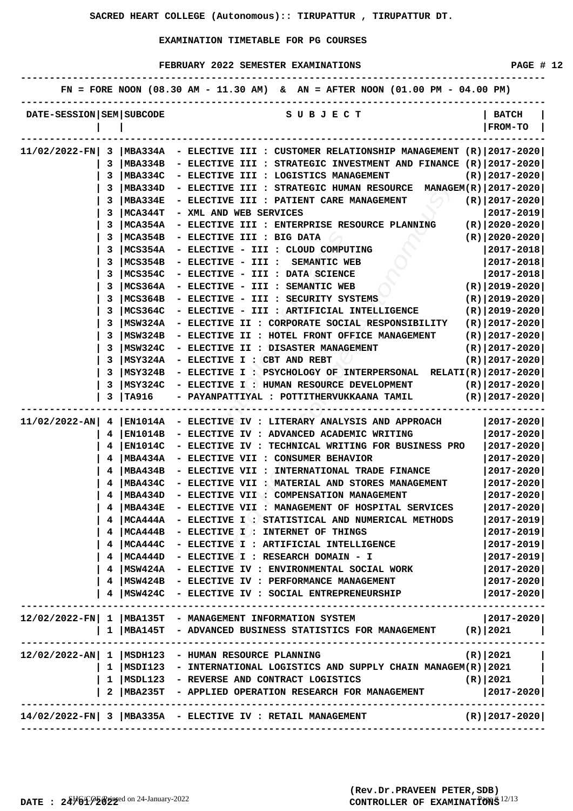|                          |    |               | FN = FORE NOON (08.30 AM - 11.30 AM) & AN = AFTER NOON (01.00 PM - 04.00 PM)                 |                                |
|--------------------------|----|---------------|----------------------------------------------------------------------------------------------|--------------------------------|
| DATE-SESSION SEM SUBCODE |    |               | S U B J E C T                                                                                | <b>BATCH</b><br><b>FROM-TO</b> |
|                          |    |               | $11/02/2022$ -FN  3  MBA334A - ELECTIVE III : CUSTOMER RELATIONSHIP MANAGEMENT (R) 2017-2020 |                                |
|                          | 3  |               | MBA334B - ELECTIVE III : STRATEGIC INVESTMENT AND FINANCE $(R)$  2017-2020                   |                                |
|                          | 3. |               | MBA334C - ELECTIVE III : LOGISTICS MANAGEMENT                                                | $(R) 2017-2020 $               |
|                          | 3  |               | $ MBA334D - ELECTIVE III : STRATEGIC HUMAN RESOURCE MANAGEM(R)  2017-2020 $                  |                                |
|                          | 3  | MBA334E       | - ELECTIVE III : PATIENT CARE MANAGEMENT                                                     | $(R)$  2017-2020               |
|                          | 3  | MCA344T       | - XML AND WEB SERVICES                                                                       | 2017-2019                      |
|                          |    | MCA354A       | - ELECTIVE III : ENTERPRISE RESOURCE PLANNING $(R)  2020-2020 $                              |                                |
|                          |    | MCA354B       | - ELECTIVE III : BIG DATA                                                                    | $(R)   2020 - 2020  $          |
|                          |    | MCS354A       | - ELECTIVE - III : CLOUD COMPUTING                                                           | 2017-2018                      |
|                          | 3  | MCS354B       | - ELECTIVE - III : SEMANTIC WEB                                                              | $ 2017 - 2018 $                |
|                          | 3  | MCS354C       | - ELECTIVE - III : DATA SCIENCE                                                              | $ 2017 - 2018 $                |
|                          | 3  | MCS364A       | - ELECTIVE - III : SEMANTIC WEB                                                              | (R)   2019-2020                |
|                          | 3  | MCS364B       | - ELECTIVE - III : SECURITY SYSTEMS                                                          | $(R)$  2019-2020               |
|                          | 3  | MCS364C       | - ELECTIVE - III : ARTIFICIAL INTELLIGENCE                                                   | $(R)   2019 - 2020  $          |
|                          | 3  | MSW324A       | - ELECTIVE II : CORPORATE SOCIAL RESPONSIBILITY                                              | $(R)$  2017-2020               |
|                          |    | MSW324B       | - ELECTIVE II : HOTEL FRONT OFFICE MANAGEMENT                                                | $(R)$  2017-2020               |
|                          | 3  | MSW324C       | - ELECTIVE II : DISASTER MANAGEMENT                                                          | $(R)$  2017-2020               |
|                          | 3  | MSY324A       | - ELECTIVE I : CBT AND REBT                                                                  | $(R) 2017-2020 $               |
|                          | 3. | MSY324B       | - ELECTIVE I : PSYCHOLOGY OF INTERPERSONAL RELATI(R) 2017-2020                               |                                |
|                          | 3  |               | MSY324C - ELECTIVE I : HUMAN RESOURCE DEVELOPMENT                                            | (R)   2017-2020                |
|                          | 3  | <b>TA916</b>  | - PAYANPATTIYAL : POTTITHERVUKKAANA TAMIL                                                    | $(R)   2017 - 2020  $          |
| $11/02/2022 - AN$        |    |               | -----------------<br>4   EN1014A - ELECTIVE IV : LITERARY ANALYSIS AND APPROACH              | ----------<br> 2017-2020       |
|                          | 4. |               | EN1014B - ELECTIVE IV : ADVANCED ACADEMIC WRITING                                            | 2017-2020                      |
|                          |    | EN1014C       | - ELECTIVE IV : TECHNICAL WRITING FOR BUSINESS PRO                                           | 2017-2020                      |
|                          | 4  | MBA434A       | - ELECTIVE VII : CONSUMER BEHAVIOR                                                           | $2017 - 2020$                  |
|                          |    | 4   MBA434B   | - ELECTIVE VII : INTERNATIONAL TRADE FINANCE                                                 | 2017-2020                      |
|                          |    | $4$   MBA434C |                                                                                              | $ 2017 - 2020 $                |
|                          |    |               | - ELECTIVE VII : MATERIAL AND STORES MANAGEMENT                                              | $2017 - 2020$                  |
|                          |    | 4   MBA434D   | - ELECTIVE VII : COMPENSATION MANAGEMENT                                                     |                                |
|                          |    | $4$   MBA434E | - ELECTIVE VII : MANAGEMENT OF HOSPITAL SERVICES                                             | $ 2017 - 2020 $                |
|                          |    |               | MCA444A - ELECTIVE I : STATISTICAL AND NUMERICAL METHODS                                     | $2017 - 2019$                  |
|                          |    |               | MCA444B - ELECTIVE I : INTERNET OF THINGS                                                    | $2017 - 2019$                  |
|                          |    |               | MCA444C - ELECTIVE I : ARTIFICIAL INTELLIGENCE                                               | 2017-2019                      |
|                          |    |               | 4   MCA444D - ELECTIVE I : RESEARCH DOMAIN - I                                               | 2017-2019                      |
|                          |    | $4$   MSW424A | - ELECTIVE IV : ENVIRONMENTAL SOCIAL WORK                                                    | $ 2017 - 2020 $                |
|                          |    |               | 4   MSW424B - ELECTIVE IV : PERFORMANCE MANAGEMENT                                           | $ 2017 - 2020 $                |
|                          |    |               | MSW424C - ELECTIVE IV : SOCIAL ENTREPRENEURSHIP                                              | $ 2017 - 2020 $                |
|                          |    |               | 12/02/2022-FN  1   MBA135T - MANAGEMENT INFORMATION SYSTEM                                   | $ 2017 - 2020 $                |
|                          |    |               | 1   MBA145T - ADVANCED BUSINESS STATISTICS FOR MANAGEMENT (R)   2021                         |                                |
|                          |    |               | 12/02/2022-AN 1   MSDH123 - HUMAN RESOURCE PLANNING                                          | $(R)$   2021                   |
|                          |    |               | 1   MSDI123 - INTERNATIONAL LOGISTICS AND SUPPLY CHAIN MANAGEM(R)   2021                     |                                |
|                          |    |               | 1   MSDL123 - REVERSE AND CONTRACT LOGISTICS                                                 | $(R)$ 2021                     |
|                          |    |               | 2   MBA235T - APPLIED OPERATION RESEARCH FOR MANAGEMENT                                      | $ 2017 - 2020 $                |
|                          |    |               |                                                                                              |                                |